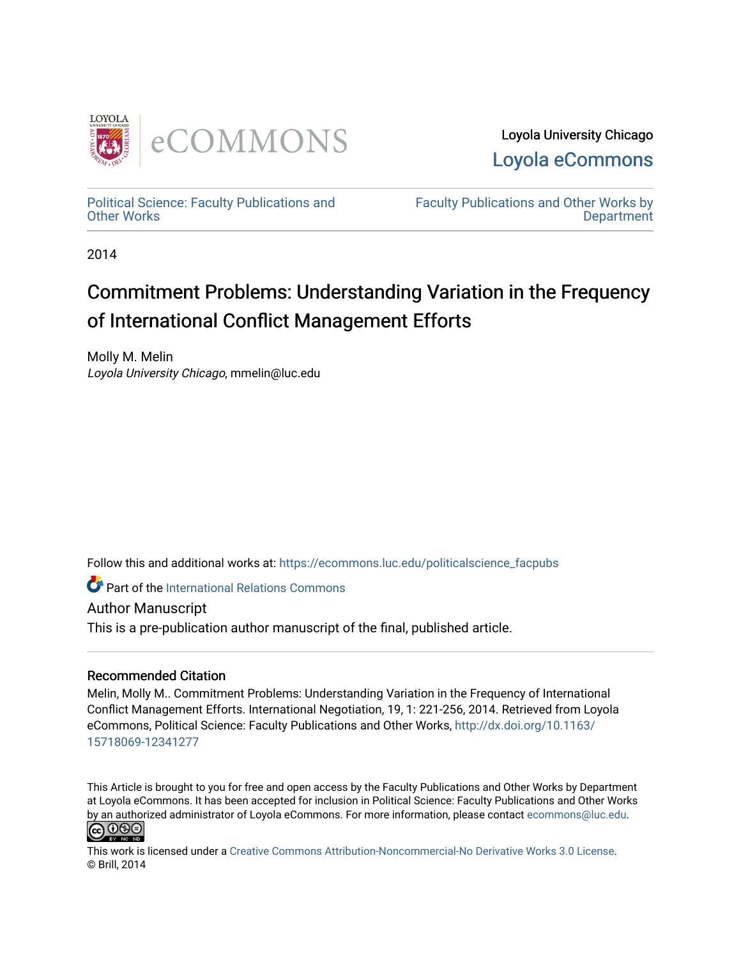

Loyola University Chicago [Loyola eCommons](https://ecommons.luc.edu/) 

[Political Science: Faculty Publications and](https://ecommons.luc.edu/politicalscience_facpubs) [Other Works](https://ecommons.luc.edu/politicalscience_facpubs)

[Faculty Publications and Other Works by](https://ecommons.luc.edu/faculty)  **Department** 

2014

# Commitment Problems: Understanding Variation in the Frequency of International Conflict Management Efforts

Molly M. Melin Loyola University Chicago, mmelin@luc.edu

Follow this and additional works at: [https://ecommons.luc.edu/politicalscience\\_facpubs](https://ecommons.luc.edu/politicalscience_facpubs?utm_source=ecommons.luc.edu%2Fpoliticalscience_facpubs%2F31&utm_medium=PDF&utm_campaign=PDFCoverPages) 

**C** Part of the International Relations Commons

Author Manuscript

This is a pre-publication author manuscript of the final, published article.

#### Recommended Citation

Melin, Molly M.. Commitment Problems: Understanding Variation in the Frequency of International Conflict Management Efforts. International Negotiation, 19, 1: 221-256, 2014. Retrieved from Loyola eCommons, Political Science: Faculty Publications and Other Works, [http://dx.doi.org/10.1163/](http://dx.doi.org/10.1163/15718069-12341277) [15718069-12341277](http://dx.doi.org/10.1163/15718069-12341277) 

This Article is brought to you for free and open access by the Faculty Publications and Other Works by Department at Loyola eCommons. It has been accepted for inclusion in Political Science: Faculty Publications and Other Works by an authorized administrator of Loyola eCommons. For more information, please contact [ecommons@luc.edu.](mailto:ecommons@luc.edu)



This work is licensed under a [Creative Commons Attribution-Noncommercial-No Derivative Works 3.0 License.](https://creativecommons.org/licenses/by-nc-nd/3.0/) © Brill, 2014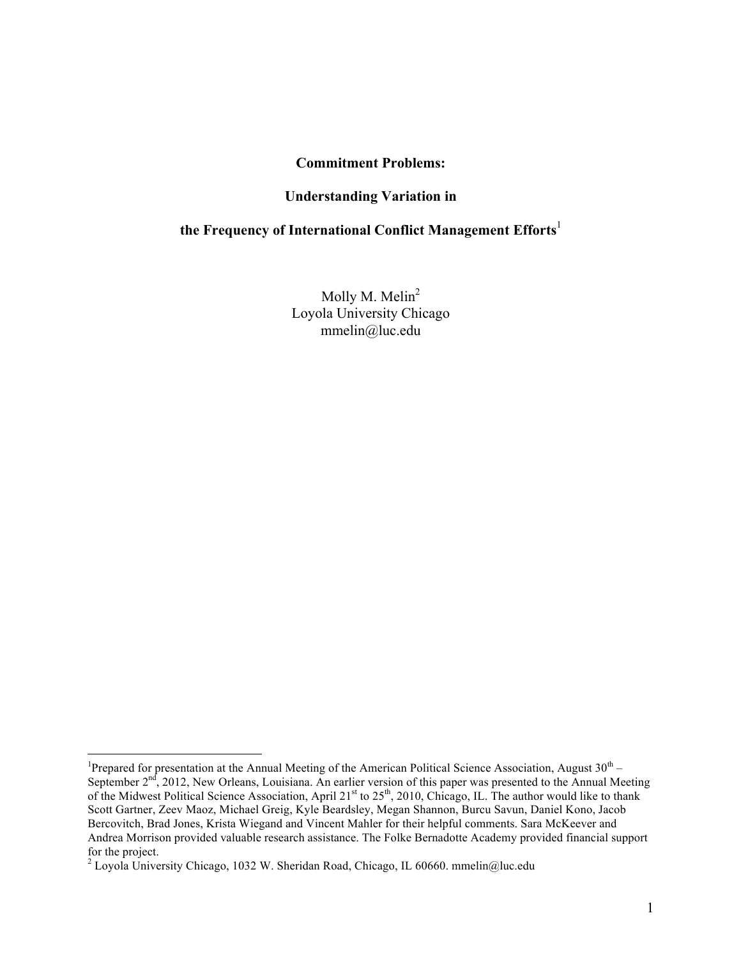#### **Commitment Problems:**

#### **Understanding Variation in**

### **the Frequency of International Conflict Management Efforts**<sup>1</sup>

Molly M. Melin<sup>2</sup> Loyola University Chicago mmelin@luc.edu

 $\frac{1}{1}$ <sup>1</sup>Prepared for presentation at the Annual Meeting of the American Political Science Association, August  $30<sup>th</sup>$  – September 2<sup>nd</sup>, 2012, New Orleans, Louisiana. An earlier version of this paper was presented to the Annual Meeting of the Midwest Political Science Association, April 21<sup>st</sup> to 25<sup>th</sup>, 2010, Chicago, IL. The author would like to thank Scott Gartner, Zeev Maoz, Michael Greig, Kyle Beardsley, Megan Shannon, Burcu Savun, Daniel Kono, Jacob Bercovitch, Brad Jones, Krista Wiegand and Vincent Mahler for their helpful comments. Sara McKeever and Andrea Morrison provided valuable research assistance. The Folke Bernadotte Academy provided financial support for the project.

<sup>&</sup>lt;sup>2</sup> Loyola University Chicago, 1032 W. Sheridan Road, Chicago, IL 60660. mmelin@luc.edu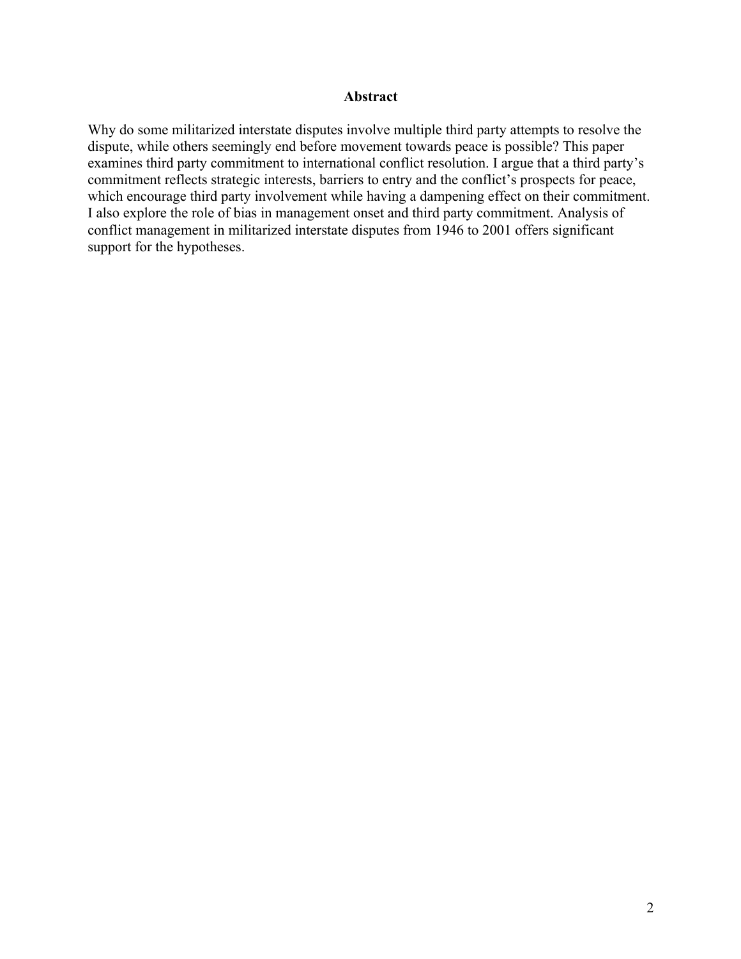#### **Abstract**

Why do some militarized interstate disputes involve multiple third party attempts to resolve the dispute, while others seemingly end before movement towards peace is possible? This paper examines third party commitment to international conflict resolution. I argue that a third party's commitment reflects strategic interests, barriers to entry and the conflict's prospects for peace, which encourage third party involvement while having a dampening effect on their commitment. I also explore the role of bias in management onset and third party commitment. Analysis of conflict management in militarized interstate disputes from 1946 to 2001 offers significant support for the hypotheses.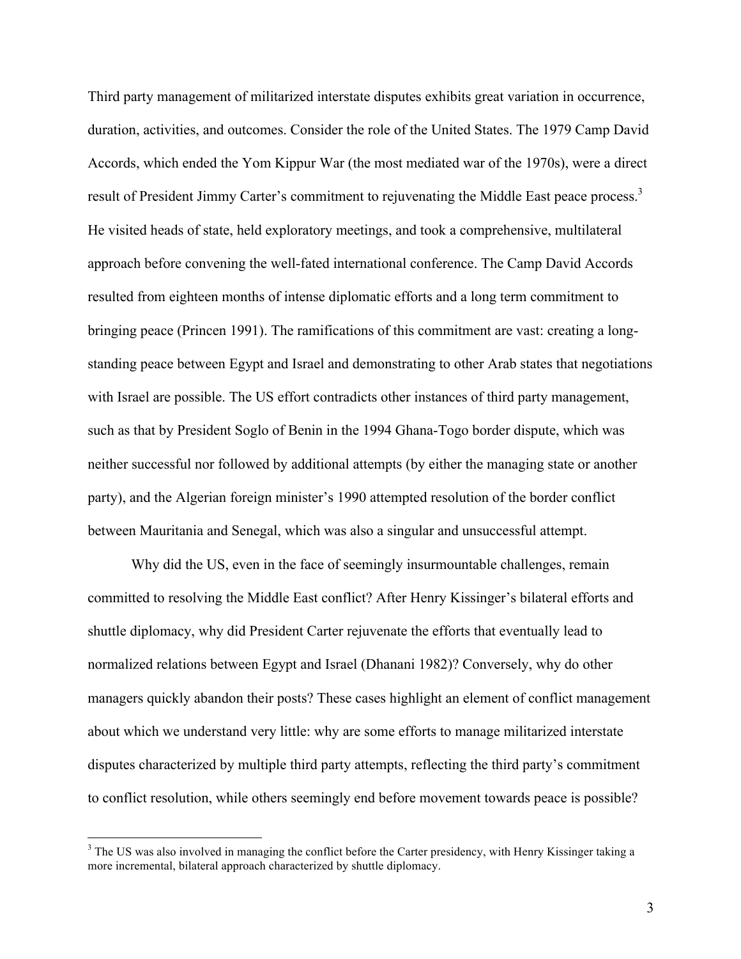Third party management of militarized interstate disputes exhibits great variation in occurrence, duration, activities, and outcomes. Consider the role of the United States. The 1979 Camp David Accords, which ended the Yom Kippur War (the most mediated war of the 1970s), were a direct result of President Jimmy Carter's commitment to rejuvenating the Middle East peace process.<sup>3</sup> He visited heads of state, held exploratory meetings, and took a comprehensive, multilateral approach before convening the well-fated international conference. The Camp David Accords resulted from eighteen months of intense diplomatic efforts and a long term commitment to bringing peace (Princen 1991). The ramifications of this commitment are vast: creating a longstanding peace between Egypt and Israel and demonstrating to other Arab states that negotiations with Israel are possible. The US effort contradicts other instances of third party management, such as that by President Soglo of Benin in the 1994 Ghana-Togo border dispute, which was neither successful nor followed by additional attempts (by either the managing state or another party), and the Algerian foreign minister's 1990 attempted resolution of the border conflict between Mauritania and Senegal, which was also a singular and unsuccessful attempt.

Why did the US, even in the face of seemingly insurmountable challenges, remain committed to resolving the Middle East conflict? After Henry Kissinger's bilateral efforts and shuttle diplomacy, why did President Carter rejuvenate the efforts that eventually lead to normalized relations between Egypt and Israel (Dhanani 1982)? Conversely, why do other managers quickly abandon their posts? These cases highlight an element of conflict management about which we understand very little: why are some efforts to manage militarized interstate disputes characterized by multiple third party attempts, reflecting the third party's commitment to conflict resolution, while others seemingly end before movement towards peace is possible?

<sup>&</sup>lt;sup>3</sup> The US was also involved in managing the conflict before the Carter presidency, with Henry Kissinger taking a more incremental, bilateral approach characterized by shuttle diplomacy.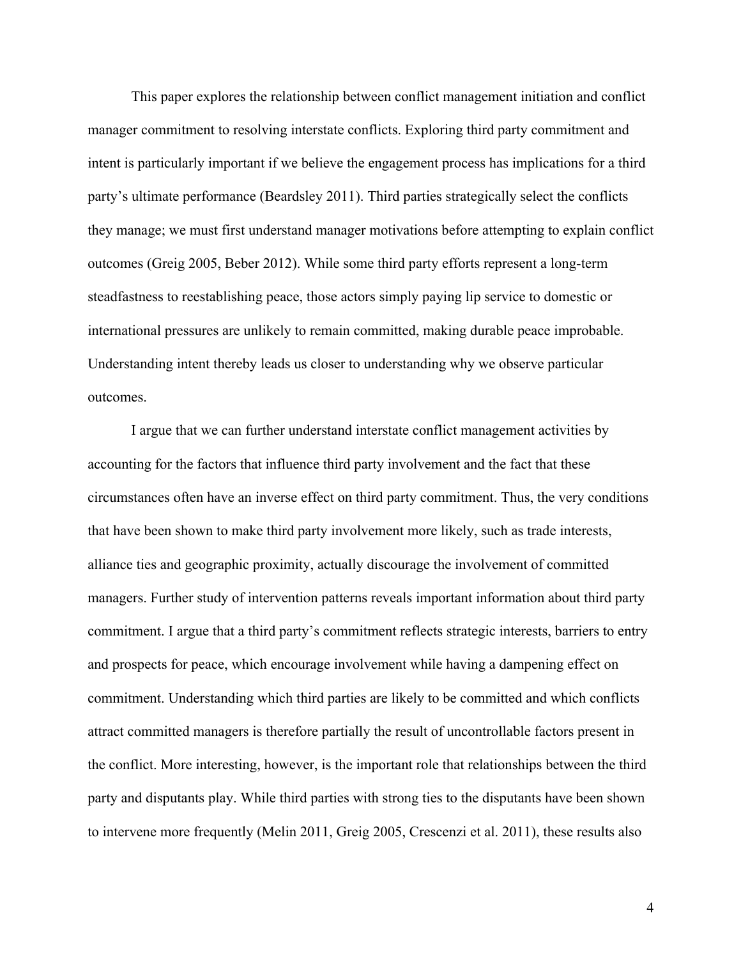This paper explores the relationship between conflict management initiation and conflict manager commitment to resolving interstate conflicts. Exploring third party commitment and intent is particularly important if we believe the engagement process has implications for a third party's ultimate performance (Beardsley 2011). Third parties strategically select the conflicts they manage; we must first understand manager motivations before attempting to explain conflict outcomes (Greig 2005, Beber 2012). While some third party efforts represent a long-term steadfastness to reestablishing peace, those actors simply paying lip service to domestic or international pressures are unlikely to remain committed, making durable peace improbable. Understanding intent thereby leads us closer to understanding why we observe particular outcomes.

I argue that we can further understand interstate conflict management activities by accounting for the factors that influence third party involvement and the fact that these circumstances often have an inverse effect on third party commitment. Thus, the very conditions that have been shown to make third party involvement more likely, such as trade interests, alliance ties and geographic proximity, actually discourage the involvement of committed managers. Further study of intervention patterns reveals important information about third party commitment. I argue that a third party's commitment reflects strategic interests, barriers to entry and prospects for peace, which encourage involvement while having a dampening effect on commitment. Understanding which third parties are likely to be committed and which conflicts attract committed managers is therefore partially the result of uncontrollable factors present in the conflict. More interesting, however, is the important role that relationships between the third party and disputants play. While third parties with strong ties to the disputants have been shown to intervene more frequently (Melin 2011, Greig 2005, Crescenzi et al. 2011), these results also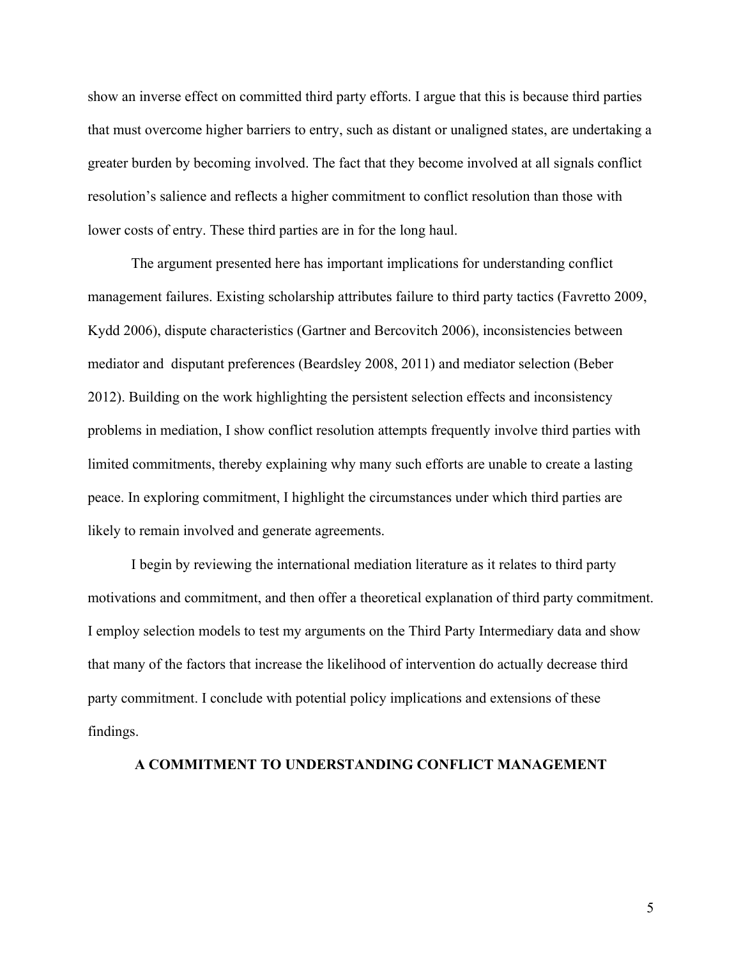show an inverse effect on committed third party efforts. I argue that this is because third parties that must overcome higher barriers to entry, such as distant or unaligned states, are undertaking a greater burden by becoming involved. The fact that they become involved at all signals conflict resolution's salience and reflects a higher commitment to conflict resolution than those with lower costs of entry. These third parties are in for the long haul.

The argument presented here has important implications for understanding conflict management failures. Existing scholarship attributes failure to third party tactics (Favretto 2009, Kydd 2006), dispute characteristics (Gartner and Bercovitch 2006), inconsistencies between mediator and disputant preferences (Beardsley 2008, 2011) and mediator selection (Beber 2012). Building on the work highlighting the persistent selection effects and inconsistency problems in mediation, I show conflict resolution attempts frequently involve third parties with limited commitments, thereby explaining why many such efforts are unable to create a lasting peace. In exploring commitment, I highlight the circumstances under which third parties are likely to remain involved and generate agreements.

I begin by reviewing the international mediation literature as it relates to third party motivations and commitment, and then offer a theoretical explanation of third party commitment. I employ selection models to test my arguments on the Third Party Intermediary data and show that many of the factors that increase the likelihood of intervention do actually decrease third party commitment. I conclude with potential policy implications and extensions of these findings.

#### **A COMMITMENT TO UNDERSTANDING CONFLICT MANAGEMENT**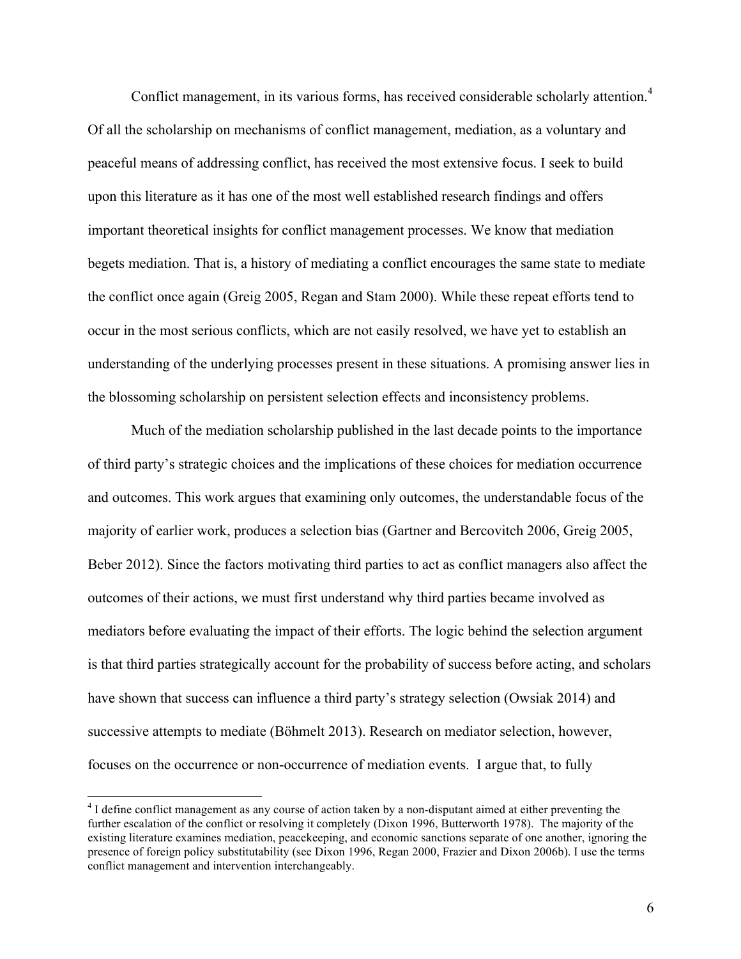Conflict management, in its various forms, has received considerable scholarly attention.<sup>4</sup> Of all the scholarship on mechanisms of conflict management, mediation, as a voluntary and peaceful means of addressing conflict, has received the most extensive focus. I seek to build upon this literature as it has one of the most well established research findings and offers important theoretical insights for conflict management processes. We know that mediation begets mediation. That is, a history of mediating a conflict encourages the same state to mediate the conflict once again (Greig 2005, Regan and Stam 2000). While these repeat efforts tend to occur in the most serious conflicts, which are not easily resolved, we have yet to establish an understanding of the underlying processes present in these situations. A promising answer lies in the blossoming scholarship on persistent selection effects and inconsistency problems.

Much of the mediation scholarship published in the last decade points to the importance of third party's strategic choices and the implications of these choices for mediation occurrence and outcomes. This work argues that examining only outcomes, the understandable focus of the majority of earlier work, produces a selection bias (Gartner and Bercovitch 2006, Greig 2005, Beber 2012). Since the factors motivating third parties to act as conflict managers also affect the outcomes of their actions, we must first understand why third parties became involved as mediators before evaluating the impact of their efforts. The logic behind the selection argument is that third parties strategically account for the probability of success before acting, and scholars have shown that success can influence a third party's strategy selection (Owsiak 2014) and successive attempts to mediate (Böhmelt 2013). Research on mediator selection, however, focuses on the occurrence or non-occurrence of mediation events. I argue that, to fully

<sup>&</sup>lt;sup>4</sup> I define conflict management as any course of action taken by a non-disputant aimed at either preventing the further escalation of the conflict or resolving it completely (Dixon 1996, Butterworth 1978). The majority of the existing literature examines mediation, peacekeeping, and economic sanctions separate of one another, ignoring the presence of foreign policy substitutability (see Dixon 1996, Regan 2000, Frazier and Dixon 2006b). I use the terms conflict management and intervention interchangeably.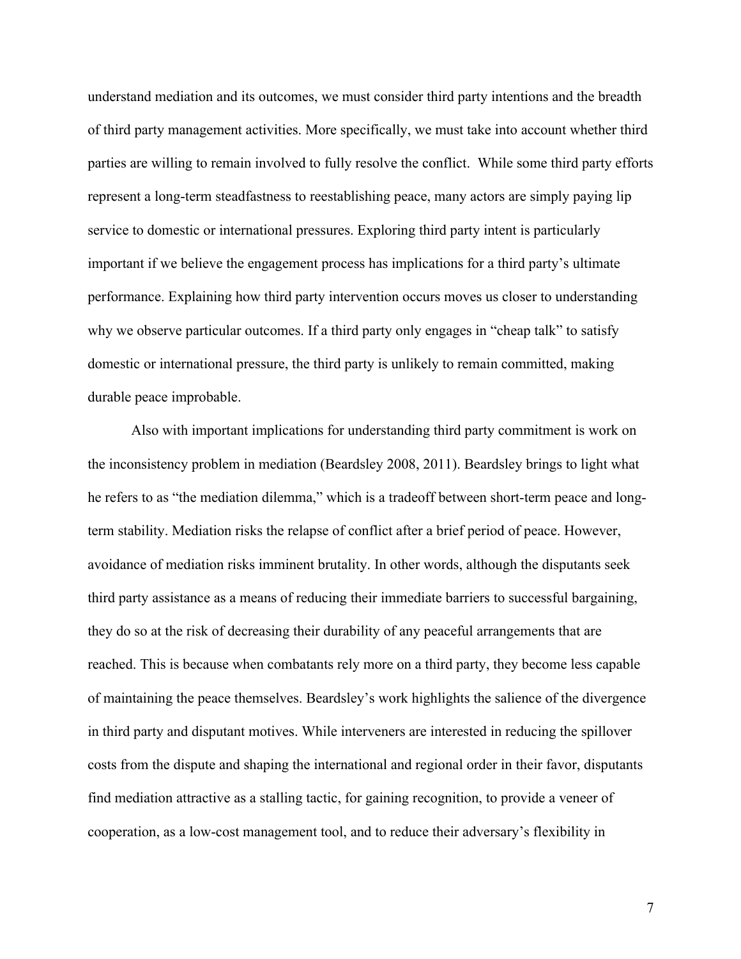understand mediation and its outcomes, we must consider third party intentions and the breadth of third party management activities. More specifically, we must take into account whether third parties are willing to remain involved to fully resolve the conflict. While some third party efforts represent a long-term steadfastness to reestablishing peace, many actors are simply paying lip service to domestic or international pressures. Exploring third party intent is particularly important if we believe the engagement process has implications for a third party's ultimate performance. Explaining how third party intervention occurs moves us closer to understanding why we observe particular outcomes. If a third party only engages in "cheap talk" to satisfy domestic or international pressure, the third party is unlikely to remain committed, making durable peace improbable.

Also with important implications for understanding third party commitment is work on the inconsistency problem in mediation (Beardsley 2008, 2011). Beardsley brings to light what he refers to as "the mediation dilemma," which is a tradeoff between short-term peace and longterm stability. Mediation risks the relapse of conflict after a brief period of peace. However, avoidance of mediation risks imminent brutality. In other words, although the disputants seek third party assistance as a means of reducing their immediate barriers to successful bargaining, they do so at the risk of decreasing their durability of any peaceful arrangements that are reached. This is because when combatants rely more on a third party, they become less capable of maintaining the peace themselves. Beardsley's work highlights the salience of the divergence in third party and disputant motives. While interveners are interested in reducing the spillover costs from the dispute and shaping the international and regional order in their favor, disputants find mediation attractive as a stalling tactic, for gaining recognition, to provide a veneer of cooperation, as a low-cost management tool, and to reduce their adversary's flexibility in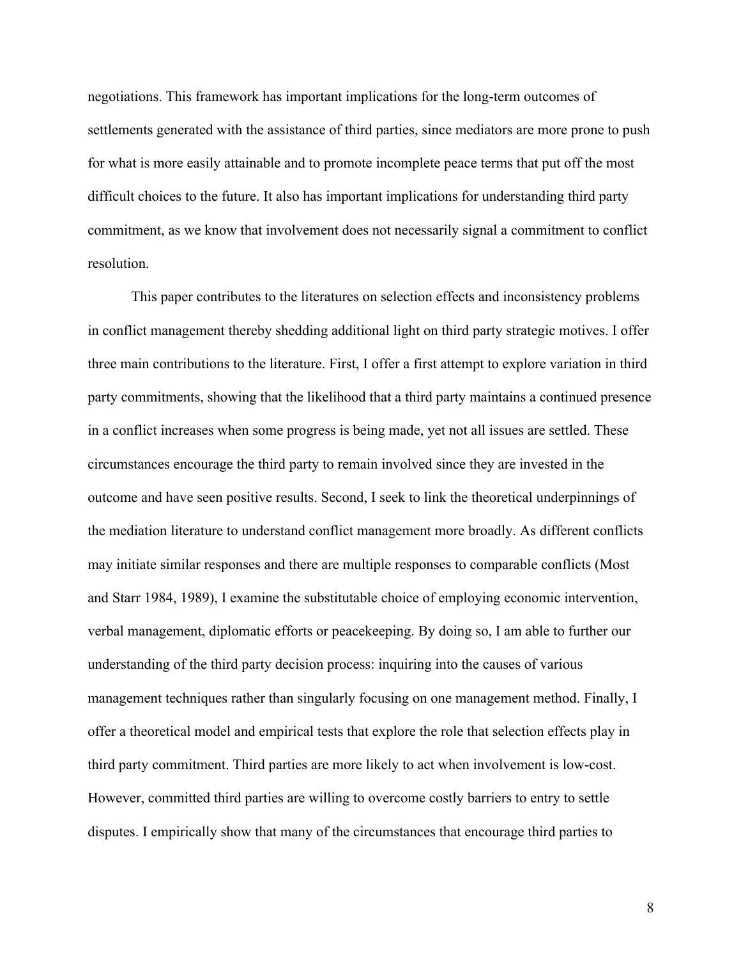negotiations. This framework has important implications for the long-term outcomes of settlements generated with the assistance of third parties, since mediators are more prone to push for what is more easily attainable and to promote incomplete peace terms that put off the most difficult choices to the future. It also has important implications for understanding third party commitment, as we know that involvement does not necessarily signal a commitment to conflict resolution.

This paper contributes to the literatures on selection effects and inconsistency problems in conflict management thereby shedding additional light on third party strategic motives. I offer three main contributions to the literature. First, I offer a first attempt to explore variation in third party commitments, showing that the likelihood that a third party maintains a continued presence in a conflict increases when some progress is being made, yet not all issues are settled. These circumstances encourage the third party to remain involved since they are invested in the outcome and have seen positive results. Second, I seek to link the theoretical underpinnings of the mediation literature to understand conflict management more broadly. As different conflicts may initiate similar responses and there are multiple responses to comparable conflicts (Most and Starr 1984, 1989), I examine the substitutable choice of employing economic intervention, verbal management, diplomatic efforts or peacekeeping. By doing so, I am able to further our understanding of the third party decision process: inquiring into the causes of various management techniques rather than singularly focusing on one management method. Finally, I offer a theoretical model and empirical tests that explore the role that selection effects play in third party commitment. Third parties are more likely to act when involvement is low-cost. However, committed third parties are willing to overcome costly barriers to entry to settle disputes. I empirically show that many of the circumstances that encourage third parties to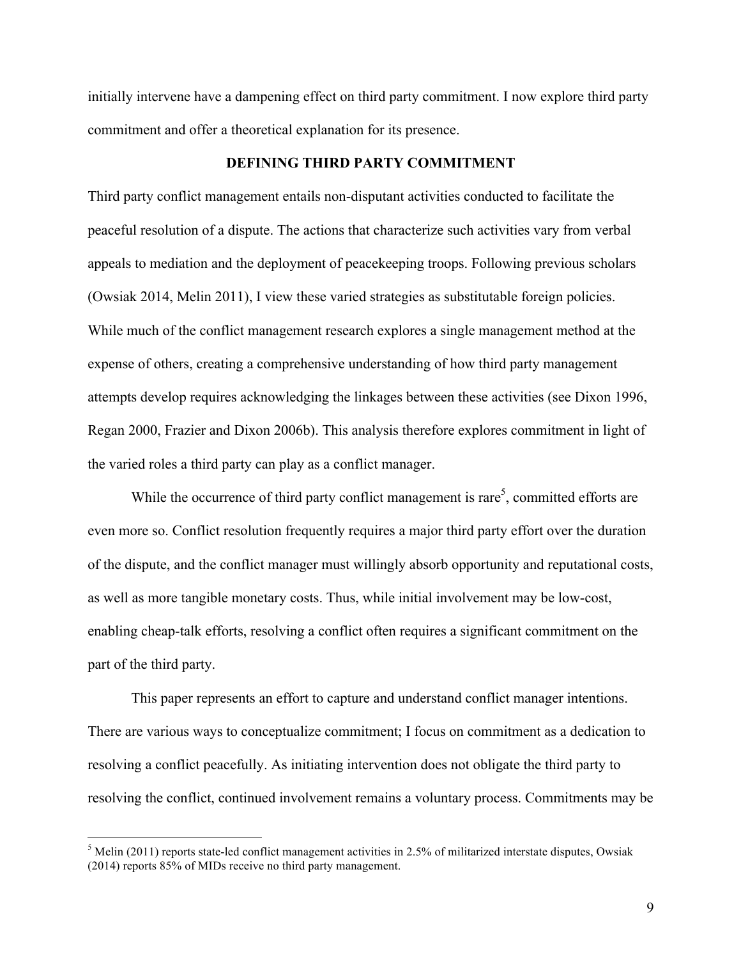initially intervene have a dampening effect on third party commitment. I now explore third party commitment and offer a theoretical explanation for its presence.

#### **DEFINING THIRD PARTY COMMITMENT**

Third party conflict management entails non-disputant activities conducted to facilitate the peaceful resolution of a dispute. The actions that characterize such activities vary from verbal appeals to mediation and the deployment of peacekeeping troops. Following previous scholars (Owsiak 2014, Melin 2011), I view these varied strategies as substitutable foreign policies. While much of the conflict management research explores a single management method at the expense of others, creating a comprehensive understanding of how third party management attempts develop requires acknowledging the linkages between these activities (see Dixon 1996, Regan 2000, Frazier and Dixon 2006b). This analysis therefore explores commitment in light of the varied roles a third party can play as a conflict manager.

While the occurrence of third party conflict management is rare<sup>5</sup>, committed efforts are even more so. Conflict resolution frequently requires a major third party effort over the duration of the dispute, and the conflict manager must willingly absorb opportunity and reputational costs, as well as more tangible monetary costs. Thus, while initial involvement may be low-cost, enabling cheap-talk efforts, resolving a conflict often requires a significant commitment on the part of the third party.

This paper represents an effort to capture and understand conflict manager intentions. There are various ways to conceptualize commitment; I focus on commitment as a dedication to resolving a conflict peacefully. As initiating intervention does not obligate the third party to resolving the conflict, continued involvement remains a voluntary process. Commitments may be

 $<sup>5</sup>$  Melin (2011) reports state-led conflict management activities in 2.5% of militarized interstate disputes, Owsiak</sup> (2014) reports 85% of MIDs receive no third party management.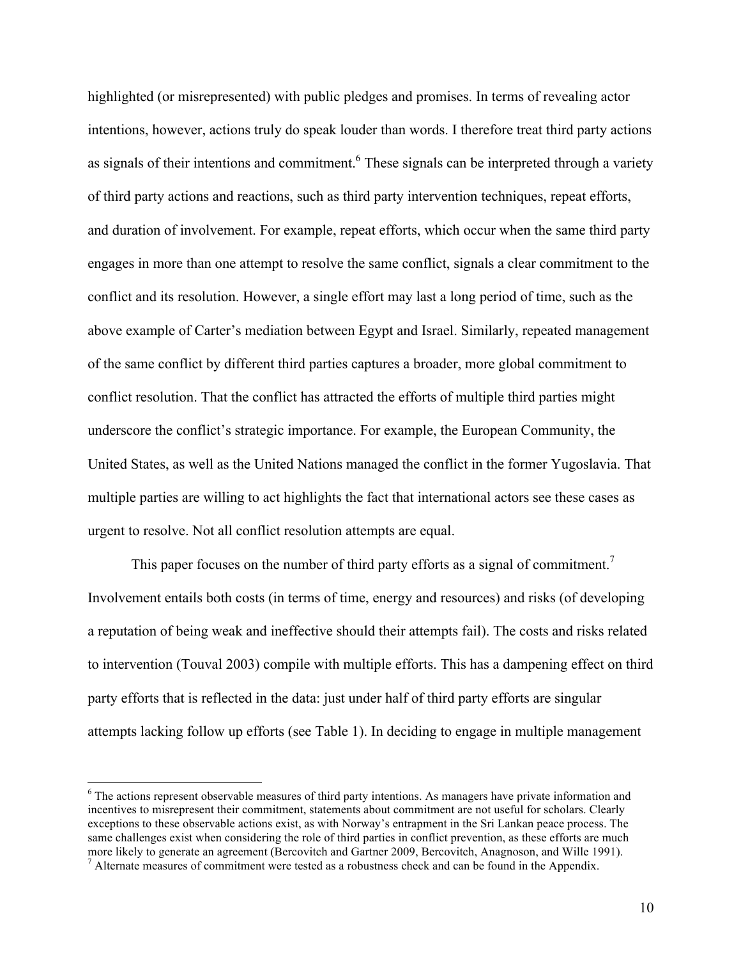highlighted (or misrepresented) with public pledges and promises. In terms of revealing actor intentions, however, actions truly do speak louder than words. I therefore treat third party actions as signals of their intentions and commitment.<sup>6</sup> These signals can be interpreted through a variety of third party actions and reactions, such as third party intervention techniques, repeat efforts, and duration of involvement. For example, repeat efforts, which occur when the same third party engages in more than one attempt to resolve the same conflict, signals a clear commitment to the conflict and its resolution. However, a single effort may last a long period of time, such as the above example of Carter's mediation between Egypt and Israel. Similarly, repeated management of the same conflict by different third parties captures a broader, more global commitment to conflict resolution. That the conflict has attracted the efforts of multiple third parties might underscore the conflict's strategic importance. For example, the European Community, the United States, as well as the United Nations managed the conflict in the former Yugoslavia. That multiple parties are willing to act highlights the fact that international actors see these cases as urgent to resolve. Not all conflict resolution attempts are equal.

This paper focuses on the number of third party efforts as a signal of commitment.<sup>7</sup> Involvement entails both costs (in terms of time, energy and resources) and risks (of developing a reputation of being weak and ineffective should their attempts fail). The costs and risks related to intervention (Touval 2003) compile with multiple efforts. This has a dampening effect on third party efforts that is reflected in the data: just under half of third party efforts are singular attempts lacking follow up efforts (see Table 1). In deciding to engage in multiple management

<sup>&</sup>lt;sup>6</sup> The actions represent observable measures of third party intentions. As managers have private information and incentives to misrepresent their commitment, statements about commitment are not useful for scholars. Clearly exceptions to these observable actions exist, as with Norway's entrapment in the Sri Lankan peace process. The same challenges exist when considering the role of third parties in conflict prevention, as these efforts are much more likely to generate an agreement (Bercovitch and Gartner 2009, Bercovitch, Anagnoson, and Wille 1991).<br><sup>7</sup> Alternate measures of commitment were tested as a robustness check and can be found in the Appendix.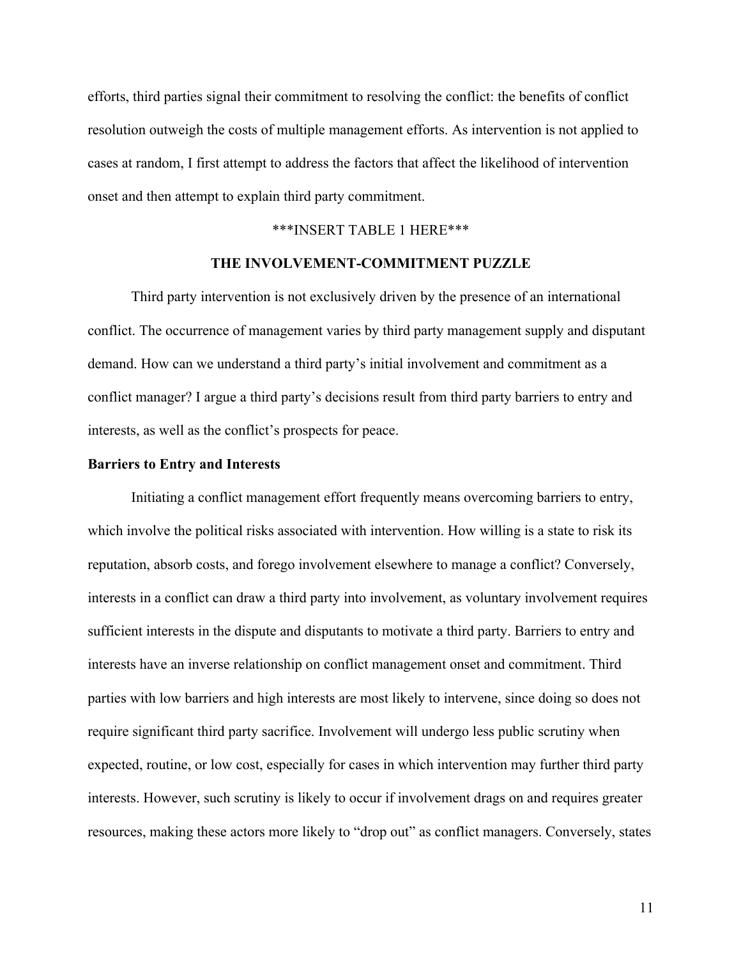efforts, third parties signal their commitment to resolving the conflict: the benefits of conflict resolution outweigh the costs of multiple management efforts. As intervention is not applied to cases at random, I first attempt to address the factors that affect the likelihood of intervention onset and then attempt to explain third party commitment.

#### \*\*\*INSERT TABLE 1 HERE\*\*\*

#### **THE INVOLVEMENT-COMMITMENT PUZZLE**

Third party intervention is not exclusively driven by the presence of an international conflict. The occurrence of management varies by third party management supply and disputant demand. How can we understand a third party's initial involvement and commitment as a conflict manager? I argue a third party's decisions result from third party barriers to entry and interests, as well as the conflict's prospects for peace.

#### **Barriers to Entry and Interests**

Initiating a conflict management effort frequently means overcoming barriers to entry, which involve the political risks associated with intervention. How willing is a state to risk its reputation, absorb costs, and forego involvement elsewhere to manage a conflict? Conversely, interests in a conflict can draw a third party into involvement, as voluntary involvement requires sufficient interests in the dispute and disputants to motivate a third party. Barriers to entry and interests have an inverse relationship on conflict management onset and commitment. Third parties with low barriers and high interests are most likely to intervene, since doing so does not require significant third party sacrifice. Involvement will undergo less public scrutiny when expected, routine, or low cost, especially for cases in which intervention may further third party interests. However, such scrutiny is likely to occur if involvement drags on and requires greater resources, making these actors more likely to "drop out" as conflict managers. Conversely, states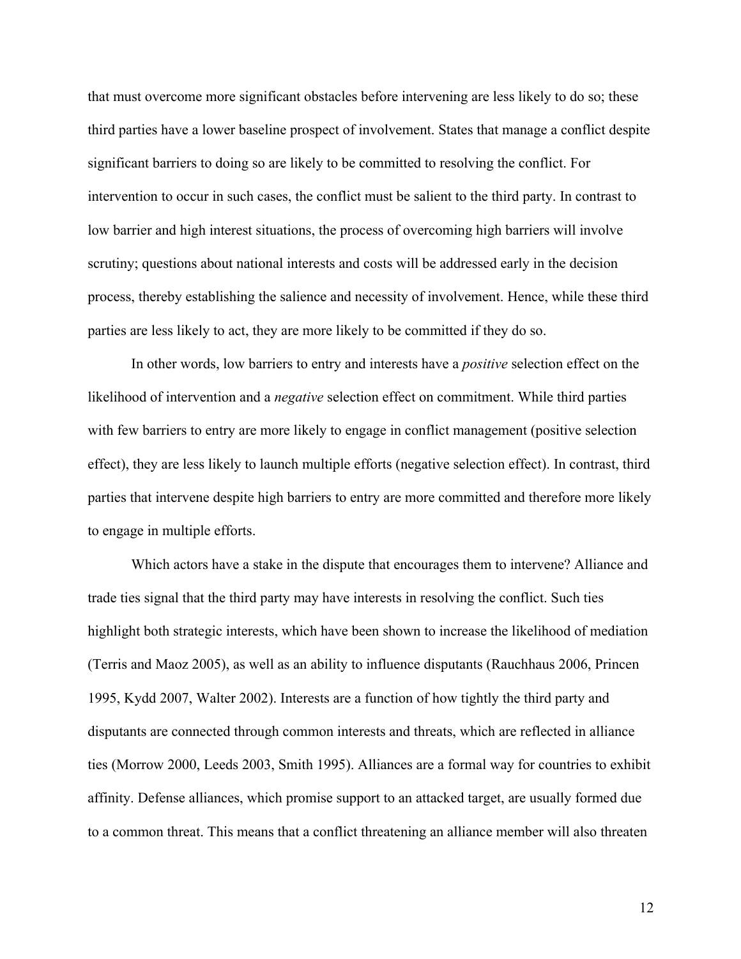that must overcome more significant obstacles before intervening are less likely to do so; these third parties have a lower baseline prospect of involvement. States that manage a conflict despite significant barriers to doing so are likely to be committed to resolving the conflict. For intervention to occur in such cases, the conflict must be salient to the third party. In contrast to low barrier and high interest situations, the process of overcoming high barriers will involve scrutiny; questions about national interests and costs will be addressed early in the decision process, thereby establishing the salience and necessity of involvement. Hence, while these third parties are less likely to act, they are more likely to be committed if they do so.

In other words, low barriers to entry and interests have a *positive* selection effect on the likelihood of intervention and a *negative* selection effect on commitment. While third parties with few barriers to entry are more likely to engage in conflict management (positive selection effect), they are less likely to launch multiple efforts (negative selection effect). In contrast, third parties that intervene despite high barriers to entry are more committed and therefore more likely to engage in multiple efforts.

Which actors have a stake in the dispute that encourages them to intervene? Alliance and trade ties signal that the third party may have interests in resolving the conflict. Such ties highlight both strategic interests, which have been shown to increase the likelihood of mediation (Terris and Maoz 2005), as well as an ability to influence disputants (Rauchhaus 2006, Princen 1995, Kydd 2007, Walter 2002). Interests are a function of how tightly the third party and disputants are connected through common interests and threats, which are reflected in alliance ties (Morrow 2000, Leeds 2003, Smith 1995). Alliances are a formal way for countries to exhibit affinity. Defense alliances, which promise support to an attacked target, are usually formed due to a common threat. This means that a conflict threatening an alliance member will also threaten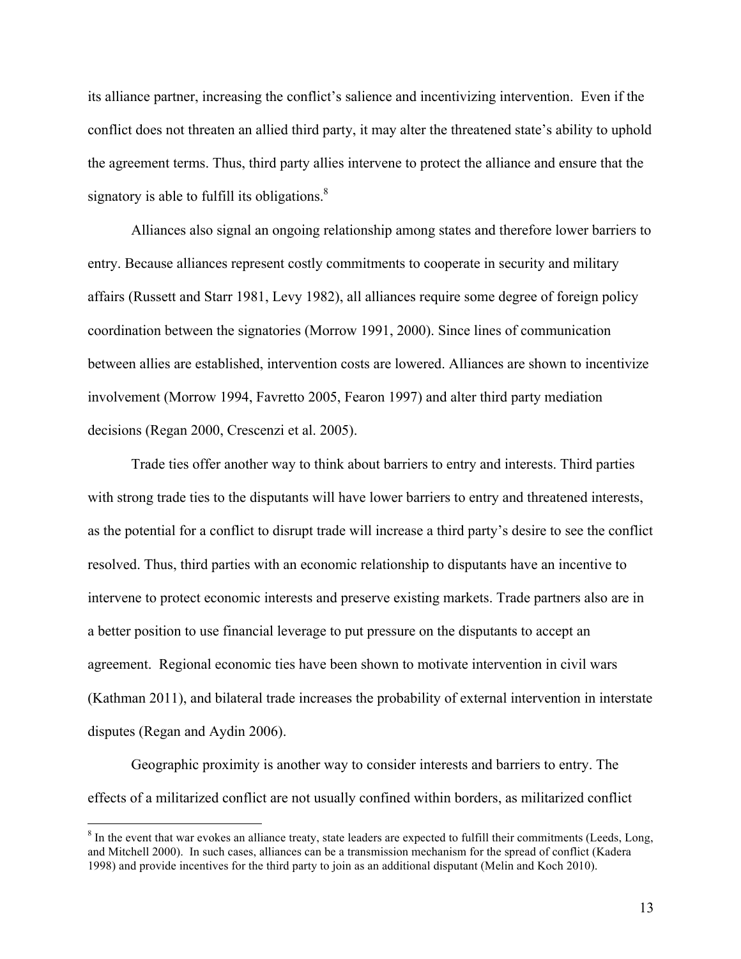its alliance partner, increasing the conflict's salience and incentivizing intervention. Even if the conflict does not threaten an allied third party, it may alter the threatened state's ability to uphold the agreement terms. Thus, third party allies intervene to protect the alliance and ensure that the signatory is able to fulfill its obligations. $8$ 

Alliances also signal an ongoing relationship among states and therefore lower barriers to entry. Because alliances represent costly commitments to cooperate in security and military affairs (Russett and Starr 1981, Levy 1982), all alliances require some degree of foreign policy coordination between the signatories (Morrow 1991, 2000). Since lines of communication between allies are established, intervention costs are lowered. Alliances are shown to incentivize involvement (Morrow 1994, Favretto 2005, Fearon 1997) and alter third party mediation decisions (Regan 2000, Crescenzi et al. 2005).

Trade ties offer another way to think about barriers to entry and interests. Third parties with strong trade ties to the disputants will have lower barriers to entry and threatened interests, as the potential for a conflict to disrupt trade will increase a third party's desire to see the conflict resolved. Thus, third parties with an economic relationship to disputants have an incentive to intervene to protect economic interests and preserve existing markets. Trade partners also are in a better position to use financial leverage to put pressure on the disputants to accept an agreement. Regional economic ties have been shown to motivate intervention in civil wars (Kathman 2011), and bilateral trade increases the probability of external intervention in interstate disputes (Regan and Aydin 2006).

Geographic proximity is another way to consider interests and barriers to entry. The effects of a militarized conflict are not usually confined within borders, as militarized conflict

<sup>&</sup>lt;sup>8</sup> In the event that war evokes an alliance treaty, state leaders are expected to fulfill their commitments (Leeds, Long, and Mitchell 2000). In such cases, alliances can be a transmission mechanism for the spread of conflict (Kadera 1998) and provide incentives for the third party to join as an additional disputant (Melin and Koch 2010).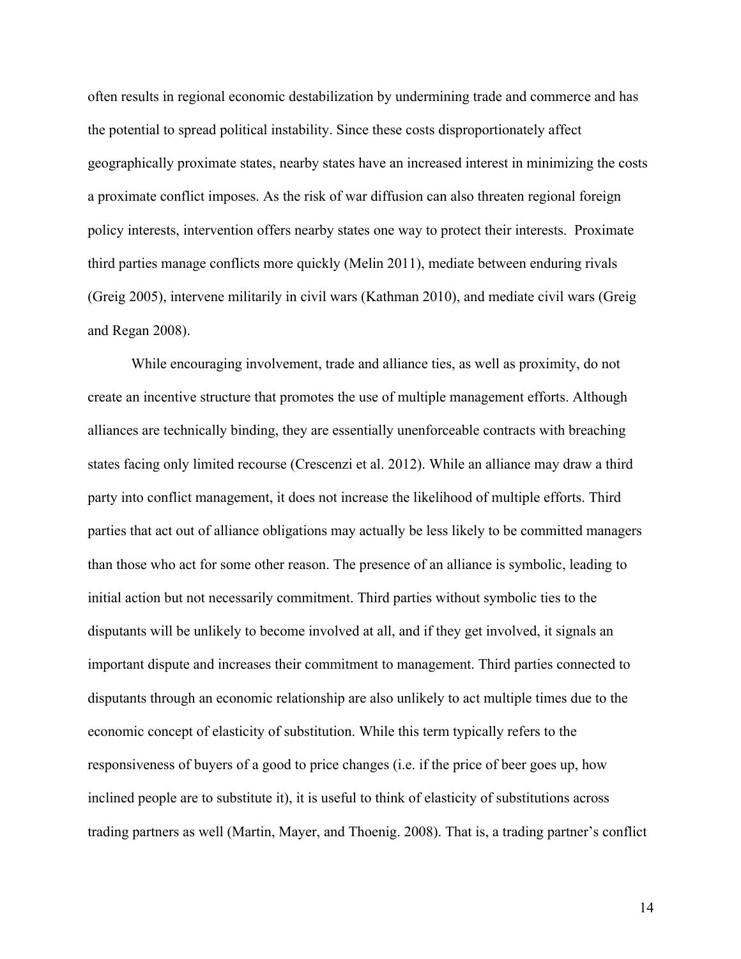often results in regional economic destabilization by undermining trade and commerce and has the potential to spread political instability. Since these costs disproportionately affect geographically proximate states, nearby states have an increased interest in minimizing the costs a proximate conflict imposes. As the risk of war diffusion can also threaten regional foreign policy interests, intervention offers nearby states one way to protect their interests. Proximate third parties manage conflicts more quickly (Melin 2011), mediate between enduring rivals (Greig 2005), intervene militarily in civil wars (Kathman 2010), and mediate civil wars (Greig and Regan 2008).

While encouraging involvement, trade and alliance ties, as well as proximity, do not create an incentive structure that promotes the use of multiple management efforts. Although alliances are technically binding, they are essentially unenforceable contracts with breaching states facing only limited recourse (Crescenzi et al. 2012). While an alliance may draw a third party into conflict management, it does not increase the likelihood of multiple efforts. Third parties that act out of alliance obligations may actually be less likely to be committed managers than those who act for some other reason. The presence of an alliance is symbolic, leading to initial action but not necessarily commitment. Third parties without symbolic ties to the disputants will be unlikely to become involved at all, and if they get involved, it signals an important dispute and increases their commitment to management. Third parties connected to disputants through an economic relationship are also unlikely to act multiple times due to the economic concept of elasticity of substitution. While this term typically refers to the responsiveness of buyers of a good to price changes (i.e. if the price of beer goes up, how inclined people are to substitute it), it is useful to think of elasticity of substitutions across trading partners as well (Martin, Mayer, and Thoenig. 2008). That is, a trading partner's conflict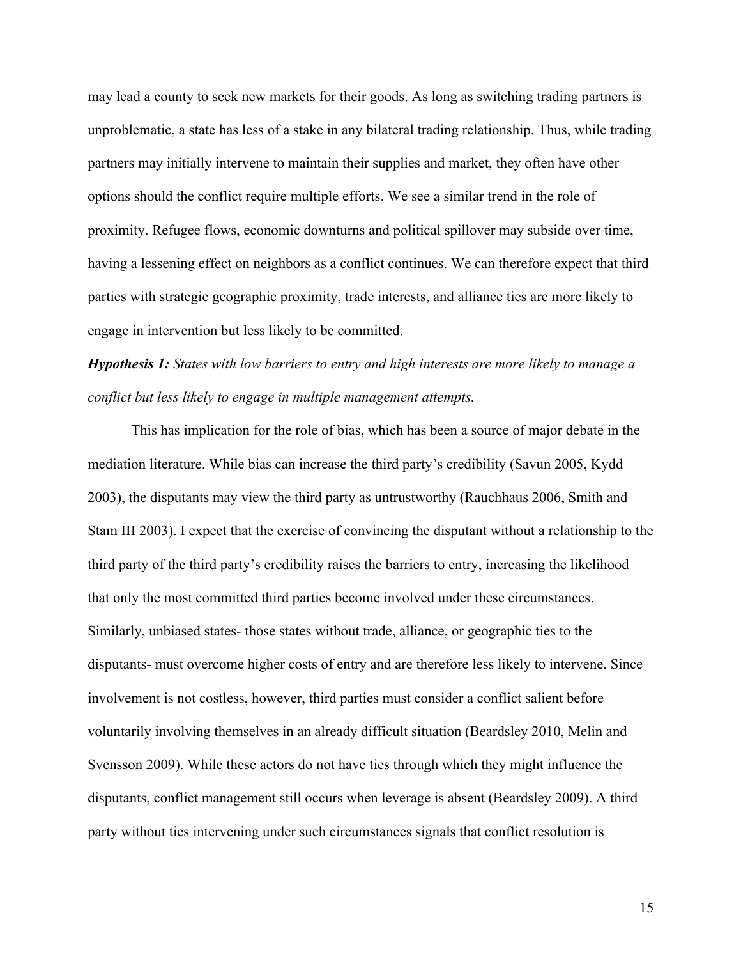may lead a county to seek new markets for their goods. As long as switching trading partners is unproblematic, a state has less of a stake in any bilateral trading relationship. Thus, while trading partners may initially intervene to maintain their supplies and market, they often have other options should the conflict require multiple efforts. We see a similar trend in the role of proximity. Refugee flows, economic downturns and political spillover may subside over time, having a lessening effect on neighbors as a conflict continues. We can therefore expect that third parties with strategic geographic proximity, trade interests, and alliance ties are more likely to engage in intervention but less likely to be committed.

## *Hypothesis 1: States with low barriers to entry and high interests are more likely to manage a conflict but less likely to engage in multiple management attempts.*

This has implication for the role of bias, which has been a source of major debate in the mediation literature. While bias can increase the third party's credibility (Savun 2005, Kydd 2003), the disputants may view the third party as untrustworthy (Rauchhaus 2006, Smith and Stam III 2003). I expect that the exercise of convincing the disputant without a relationship to the third party of the third party's credibility raises the barriers to entry, increasing the likelihood that only the most committed third parties become involved under these circumstances. Similarly, unbiased states- those states without trade, alliance, or geographic ties to the disputants- must overcome higher costs of entry and are therefore less likely to intervene. Since involvement is not costless, however, third parties must consider a conflict salient before voluntarily involving themselves in an already difficult situation (Beardsley 2010, Melin and Svensson 2009). While these actors do not have ties through which they might influence the disputants, conflict management still occurs when leverage is absent (Beardsley 2009). A third party without ties intervening under such circumstances signals that conflict resolution is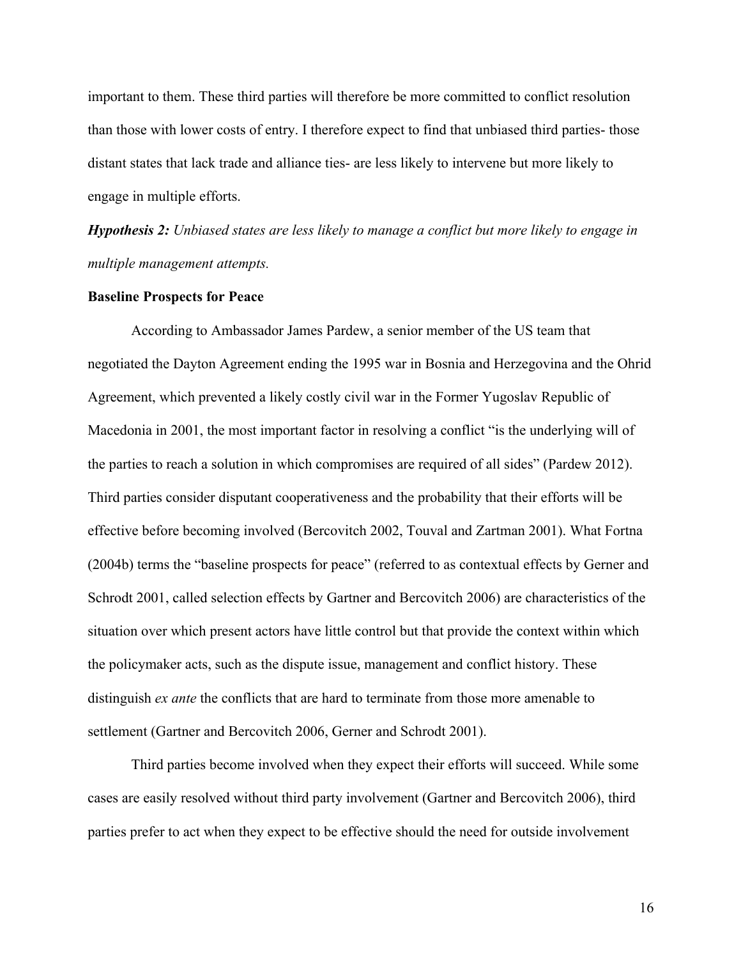important to them. These third parties will therefore be more committed to conflict resolution than those with lower costs of entry. I therefore expect to find that unbiased third parties- those distant states that lack trade and alliance ties- are less likely to intervene but more likely to engage in multiple efforts.

*Hypothesis 2: Unbiased states are less likely to manage a conflict but more likely to engage in multiple management attempts.* 

#### **Baseline Prospects for Peace**

According to Ambassador James Pardew, a senior member of the US team that negotiated the Dayton Agreement ending the 1995 war in Bosnia and Herzegovina and the Ohrid Agreement, which prevented a likely costly civil war in the Former Yugoslav Republic of Macedonia in 2001, the most important factor in resolving a conflict "is the underlying will of the parties to reach a solution in which compromises are required of all sides" (Pardew 2012). Third parties consider disputant cooperativeness and the probability that their efforts will be effective before becoming involved (Bercovitch 2002, Touval and Zartman 2001). What Fortna (2004b) terms the "baseline prospects for peace" (referred to as contextual effects by Gerner and Schrodt 2001, called selection effects by Gartner and Bercovitch 2006) are characteristics of the situation over which present actors have little control but that provide the context within which the policymaker acts, such as the dispute issue, management and conflict history. These distinguish *ex ante* the conflicts that are hard to terminate from those more amenable to settlement (Gartner and Bercovitch 2006, Gerner and Schrodt 2001).

Third parties become involved when they expect their efforts will succeed. While some cases are easily resolved without third party involvement (Gartner and Bercovitch 2006), third parties prefer to act when they expect to be effective should the need for outside involvement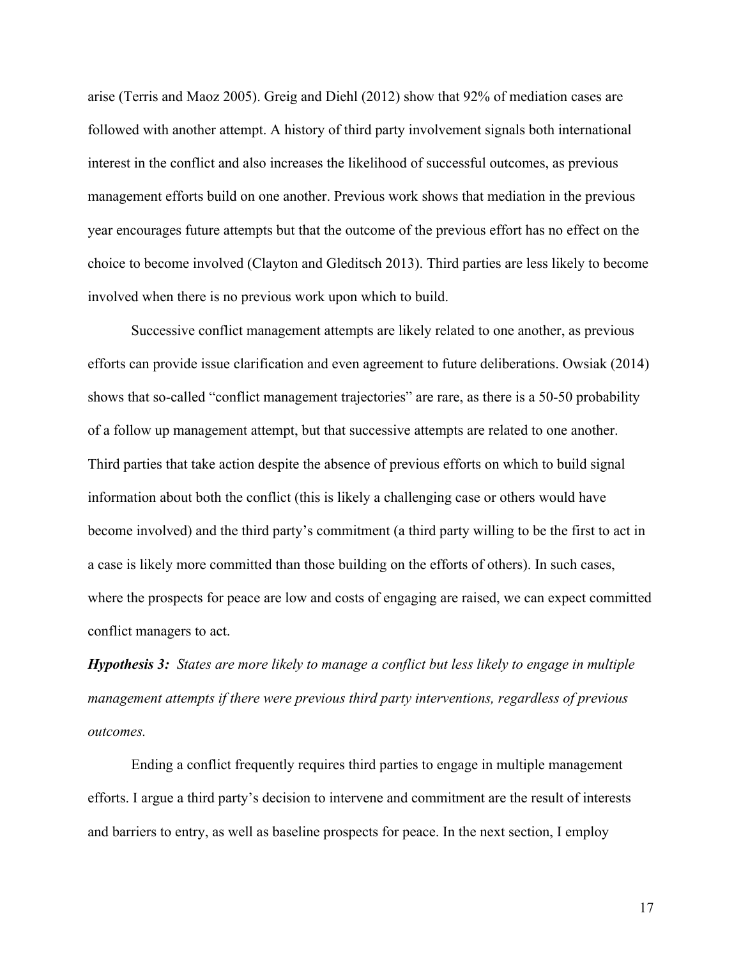arise (Terris and Maoz 2005). Greig and Diehl (2012) show that 92% of mediation cases are followed with another attempt. A history of third party involvement signals both international interest in the conflict and also increases the likelihood of successful outcomes, as previous management efforts build on one another. Previous work shows that mediation in the previous year encourages future attempts but that the outcome of the previous effort has no effect on the choice to become involved (Clayton and Gleditsch 2013). Third parties are less likely to become involved when there is no previous work upon which to build.

Successive conflict management attempts are likely related to one another, as previous efforts can provide issue clarification and even agreement to future deliberations. Owsiak (2014) shows that so-called "conflict management trajectories" are rare, as there is a 50-50 probability of a follow up management attempt, but that successive attempts are related to one another. Third parties that take action despite the absence of previous efforts on which to build signal information about both the conflict (this is likely a challenging case or others would have become involved) and the third party's commitment (a third party willing to be the first to act in a case is likely more committed than those building on the efforts of others). In such cases, where the prospects for peace are low and costs of engaging are raised, we can expect committed conflict managers to act.

*Hypothesis 3: States are more likely to manage a conflict but less likely to engage in multiple management attempts if there were previous third party interventions, regardless of previous outcomes.*

Ending a conflict frequently requires third parties to engage in multiple management efforts. I argue a third party's decision to intervene and commitment are the result of interests and barriers to entry, as well as baseline prospects for peace. In the next section, I employ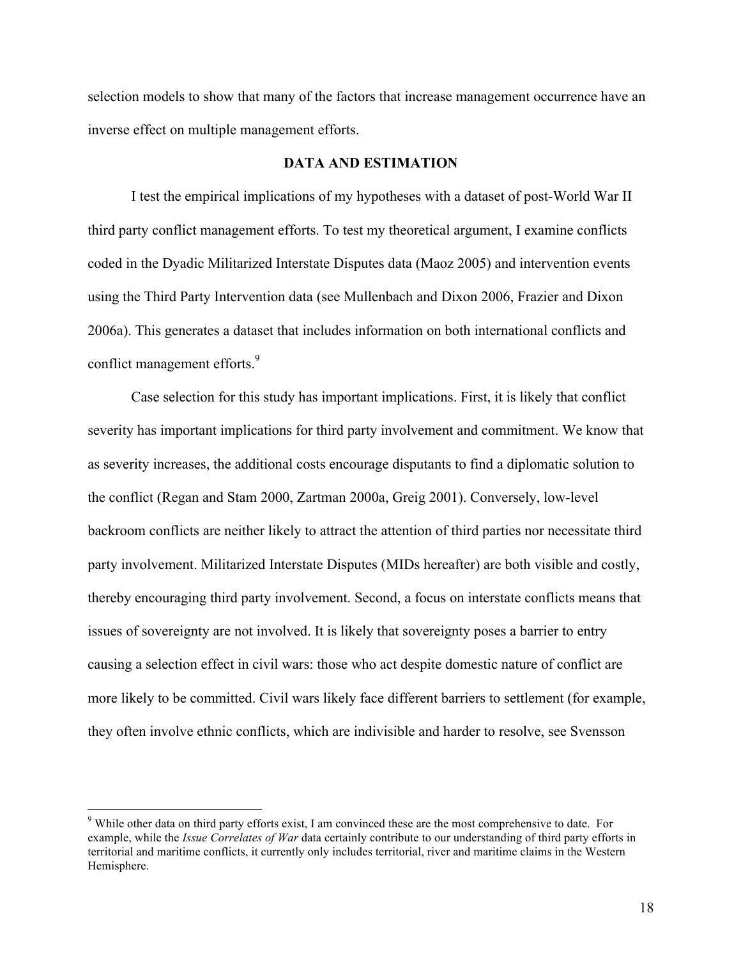selection models to show that many of the factors that increase management occurrence have an inverse effect on multiple management efforts.

#### **DATA AND ESTIMATION**

I test the empirical implications of my hypotheses with a dataset of post-World War II third party conflict management efforts. To test my theoretical argument, I examine conflicts coded in the Dyadic Militarized Interstate Disputes data (Maoz 2005) and intervention events using the Third Party Intervention data (see Mullenbach and Dixon 2006, Frazier and Dixon 2006a). This generates a dataset that includes information on both international conflicts and conflict management efforts.<sup>9</sup>

Case selection for this study has important implications. First, it is likely that conflict severity has important implications for third party involvement and commitment. We know that as severity increases, the additional costs encourage disputants to find a diplomatic solution to the conflict (Regan and Stam 2000, Zartman 2000a, Greig 2001). Conversely, low-level backroom conflicts are neither likely to attract the attention of third parties nor necessitate third party involvement. Militarized Interstate Disputes (MIDs hereafter) are both visible and costly, thereby encouraging third party involvement. Second, a focus on interstate conflicts means that issues of sovereignty are not involved. It is likely that sovereignty poses a barrier to entry causing a selection effect in civil wars: those who act despite domestic nature of conflict are more likely to be committed. Civil wars likely face different barriers to settlement (for example, they often involve ethnic conflicts, which are indivisible and harder to resolve, see Svensson

<sup>&</sup>lt;sup>9</sup> While other data on third party efforts exist, I am convinced these are the most comprehensive to date. For example, while the *Issue Correlates of War* data certainly contribute to our understanding of third party efforts in territorial and maritime conflicts, it currently only includes territorial, river and maritime claims in the Western Hemisphere.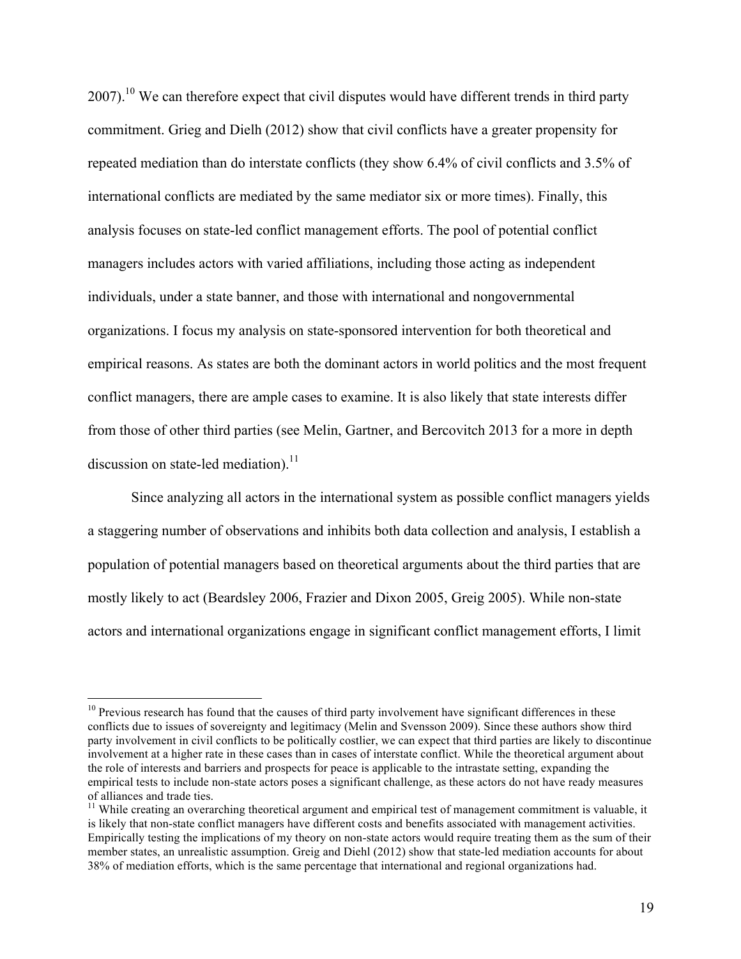$2007$ ).<sup>10</sup> We can therefore expect that civil disputes would have different trends in third party commitment. Grieg and Dielh (2012) show that civil conflicts have a greater propensity for repeated mediation than do interstate conflicts (they show 6.4% of civil conflicts and 3.5% of international conflicts are mediated by the same mediator six or more times). Finally, this analysis focuses on state-led conflict management efforts. The pool of potential conflict managers includes actors with varied affiliations, including those acting as independent individuals, under a state banner, and those with international and nongovernmental organizations. I focus my analysis on state-sponsored intervention for both theoretical and empirical reasons. As states are both the dominant actors in world politics and the most frequent conflict managers, there are ample cases to examine. It is also likely that state interests differ from those of other third parties (see Melin, Gartner, and Bercovitch 2013 for a more in depth discussion on state-led mediation).<sup>11</sup>

Since analyzing all actors in the international system as possible conflict managers yields a staggering number of observations and inhibits both data collection and analysis, I establish a population of potential managers based on theoretical arguments about the third parties that are mostly likely to act (Beardsley 2006, Frazier and Dixon 2005, Greig 2005). While non-state actors and international organizations engage in significant conflict management efforts, I limit

 $10$  Previous research has found that the causes of third party involvement have significant differences in these conflicts due to issues of sovereignty and legitimacy (Melin and Svensson 2009). Since these authors show third party involvement in civil conflicts to be politically costlier, we can expect that third parties are likely to discontinue involvement at a higher rate in these cases than in cases of interstate conflict. While the theoretical argument about the role of interests and barriers and prospects for peace is applicable to the intrastate setting, expanding the empirical tests to include non-state actors poses a significant challenge, as these actors do not have ready measures of alliances and trade ties.

 $11$  While creating an overarching theoretical argument and empirical test of management commitment is valuable, it is likely that non-state conflict managers have different costs and benefits associated with management activities. Empirically testing the implications of my theory on non-state actors would require treating them as the sum of their member states, an unrealistic assumption. Greig and Diehl (2012) show that state-led mediation accounts for about 38% of mediation efforts, which is the same percentage that international and regional organizations had.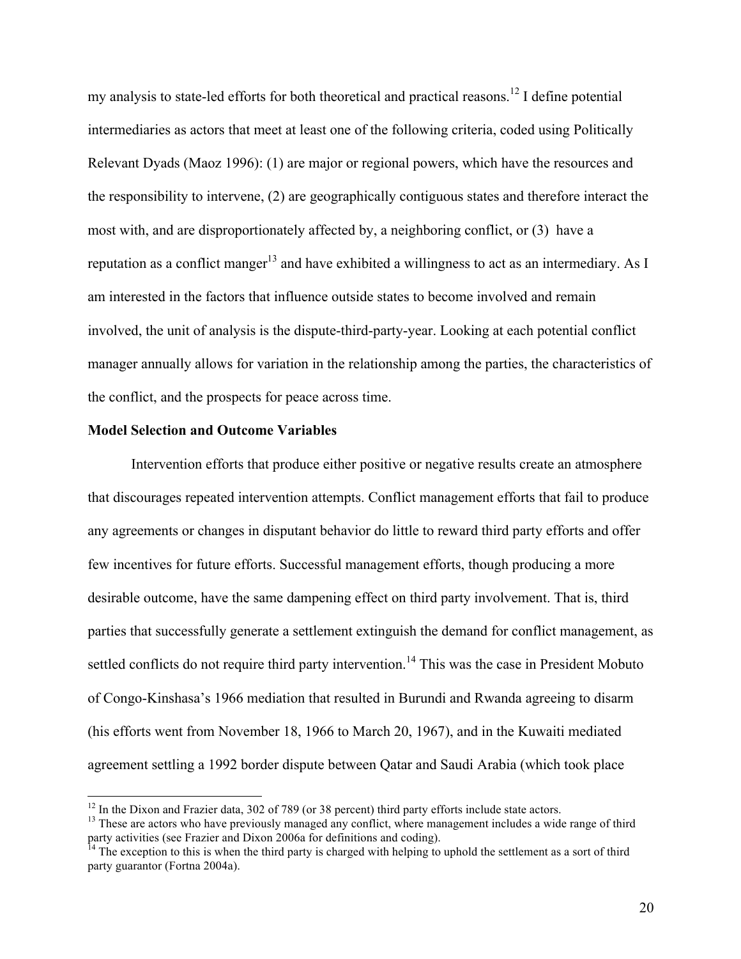my analysis to state-led efforts for both theoretical and practical reasons.<sup>12</sup> I define potential intermediaries as actors that meet at least one of the following criteria, coded using Politically Relevant Dyads (Maoz 1996): (1) are major or regional powers, which have the resources and the responsibility to intervene, (2) are geographically contiguous states and therefore interact the most with, and are disproportionately affected by, a neighboring conflict, or (3) have a reputation as a conflict manger<sup>13</sup> and have exhibited a willingness to act as an intermediary. As I am interested in the factors that influence outside states to become involved and remain involved, the unit of analysis is the dispute-third-party-year. Looking at each potential conflict manager annually allows for variation in the relationship among the parties, the characteristics of the conflict, and the prospects for peace across time.

#### **Model Selection and Outcome Variables**

Intervention efforts that produce either positive or negative results create an atmosphere that discourages repeated intervention attempts. Conflict management efforts that fail to produce any agreements or changes in disputant behavior do little to reward third party efforts and offer few incentives for future efforts. Successful management efforts, though producing a more desirable outcome, have the same dampening effect on third party involvement. That is, third parties that successfully generate a settlement extinguish the demand for conflict management, as settled conflicts do not require third party intervention.<sup>14</sup> This was the case in President Mobuto of Congo-Kinshasa's 1966 mediation that resulted in Burundi and Rwanda agreeing to disarm (his efforts went from November 18, 1966 to March 20, 1967), and in the Kuwaiti mediated agreement settling a 1992 border dispute between Qatar and Saudi Arabia (which took place

<sup>&</sup>lt;sup>12</sup> In the Dixon and Frazier data, 302 of 789 (or 38 percent) third party efforts include state actors.<br><sup>13</sup> These are actors who have previously managed any conflict, where management includes a wide range of third party activities (see Frazier and Dixon 2006a for definitions and coding).<br><sup>14</sup> The exception to this is when the third party is charged with helping to uphold the settlement as a sort of third

party guarantor (Fortna 2004a).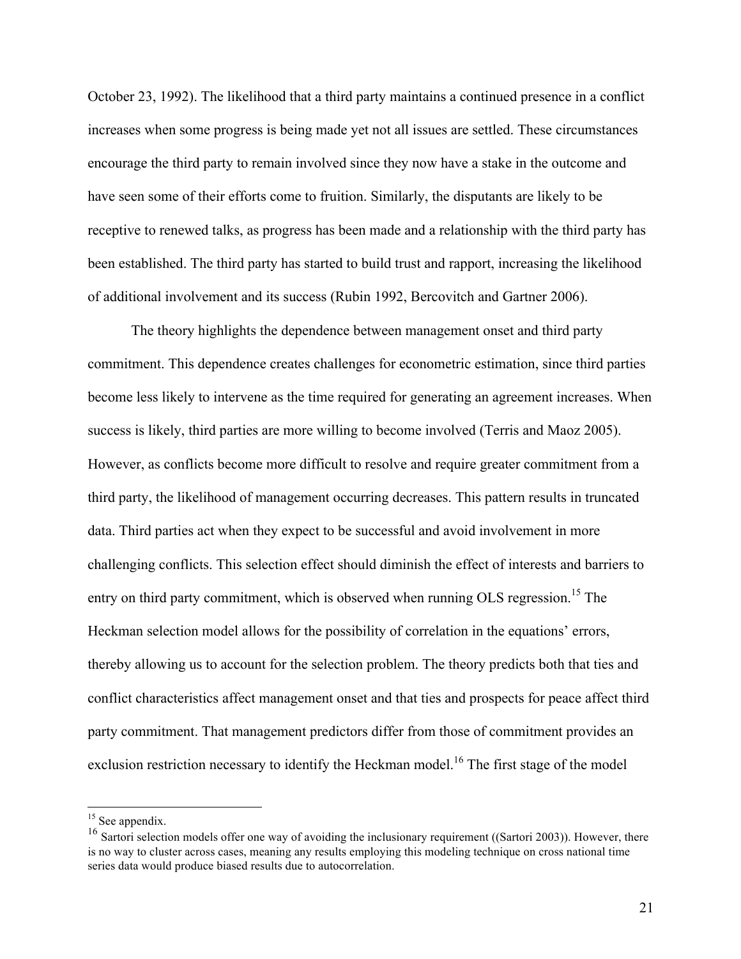October 23, 1992). The likelihood that a third party maintains a continued presence in a conflict increases when some progress is being made yet not all issues are settled. These circumstances encourage the third party to remain involved since they now have a stake in the outcome and have seen some of their efforts come to fruition. Similarly, the disputants are likely to be receptive to renewed talks, as progress has been made and a relationship with the third party has been established. The third party has started to build trust and rapport, increasing the likelihood of additional involvement and its success (Rubin 1992, Bercovitch and Gartner 2006).

The theory highlights the dependence between management onset and third party commitment. This dependence creates challenges for econometric estimation, since third parties become less likely to intervene as the time required for generating an agreement increases. When success is likely, third parties are more willing to become involved (Terris and Maoz 2005). However, as conflicts become more difficult to resolve and require greater commitment from a third party, the likelihood of management occurring decreases. This pattern results in truncated data. Third parties act when they expect to be successful and avoid involvement in more challenging conflicts. This selection effect should diminish the effect of interests and barriers to entry on third party commitment, which is observed when running OLS regression.<sup>15</sup> The Heckman selection model allows for the possibility of correlation in the equations' errors, thereby allowing us to account for the selection problem. The theory predicts both that ties and conflict characteristics affect management onset and that ties and prospects for peace affect third party commitment. That management predictors differ from those of commitment provides an exclusion restriction necessary to identify the Heckman model.<sup>16</sup> The first stage of the model

 $15$  See appendix.

<sup>&</sup>lt;sup>16</sup> Sartori selection models offer one way of avoiding the inclusionary requirement ((Sartori 2003)). However, there is no way to cluster across cases, meaning any results employing this modeling technique on cross national time series data would produce biased results due to autocorrelation.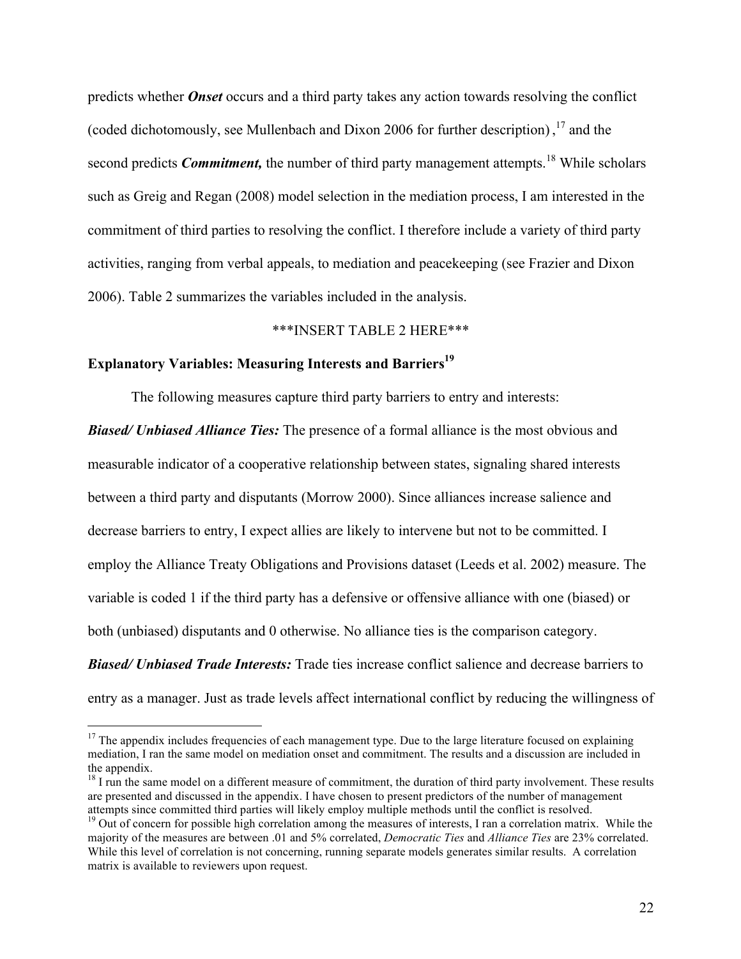predicts whether *Onset* occurs and a third party takes any action towards resolving the conflict (coded dichotomously, see Mullenbach and Dixon 2006 for further description),  $^{17}$  and the second predicts *Commitment*, the number of third party management attempts.<sup>18</sup> While scholars such as Greig and Regan (2008) model selection in the mediation process, I am interested in the commitment of third parties to resolving the conflict. I therefore include a variety of third party activities, ranging from verbal appeals, to mediation and peacekeeping (see Frazier and Dixon 2006). Table 2 summarizes the variables included in the analysis.

#### \*\*\*INSERT TABLE 2 HERE\*\*\*

#### **Explanatory Variables: Measuring Interests and Barriers**<sup>19</sup>

The following measures capture third party barriers to entry and interests:

*Biased/ Unbiased Alliance Ties:* The presence of a formal alliance is the most obvious and measurable indicator of a cooperative relationship between states, signaling shared interests between a third party and disputants (Morrow 2000). Since alliances increase salience and decrease barriers to entry, I expect allies are likely to intervene but not to be committed. I employ the Alliance Treaty Obligations and Provisions dataset (Leeds et al. 2002) measure. The variable is coded 1 if the third party has a defensive or offensive alliance with one (biased) or both (unbiased) disputants and 0 otherwise. No alliance ties is the comparison category.

*Biased/ Unbiased Trade Interests:* Trade ties increase conflict salience and decrease barriers to entry as a manager. Just as trade levels affect international conflict by reducing the willingness of

 $17$  The appendix includes frequencies of each management type. Due to the large literature focused on explaining mediation, I ran the same model on mediation onset and commitment. The results and a discussion are included in the appendix.

 $18$  I run the same model on a different measure of commitment, the duration of third party involvement. These results are presented and discussed in the appendix. I have chosen to present predictors of the number of management attempts since committed third parties will likely employ multiple methods until the conflict is resolved.<br><sup>19</sup> Out of concern for possible high correlation among the measures of interests, I ran a correlation matrix. Whil

majority of the measures are between .01 and 5% correlated, *Democratic Ties* and *Alliance Ties* are 23% correlated. While this level of correlation is not concerning, running separate models generates similar results. A correlation matrix is available to reviewers upon request.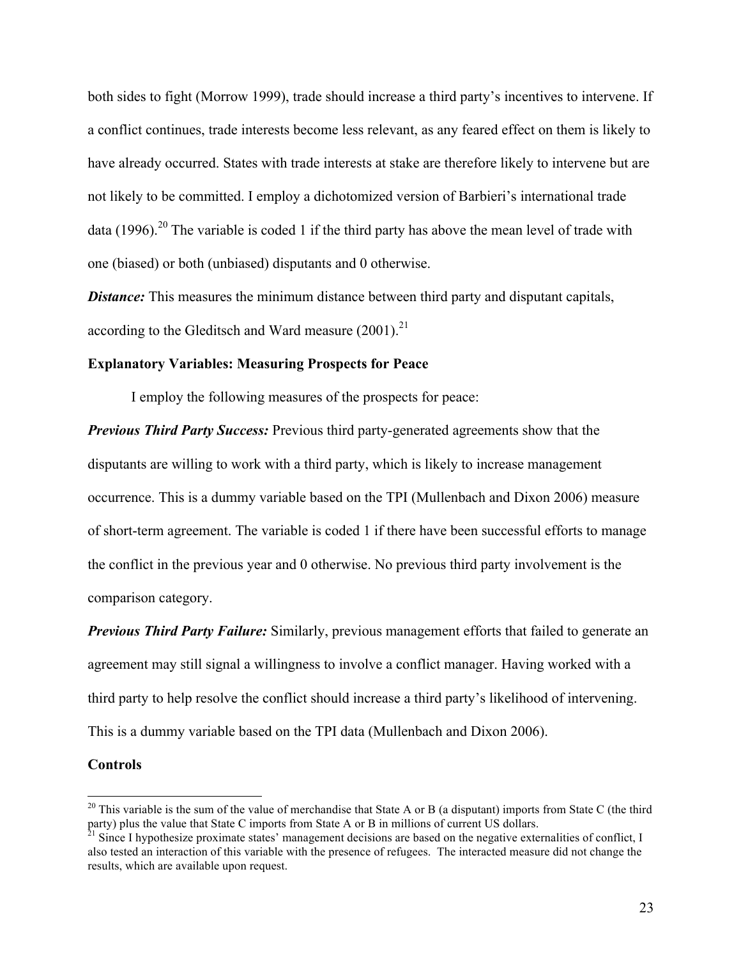both sides to fight (Morrow 1999), trade should increase a third party's incentives to intervene. If a conflict continues, trade interests become less relevant, as any feared effect on them is likely to have already occurred. States with trade interests at stake are therefore likely to intervene but are not likely to be committed. I employ a dichotomized version of Barbieri's international trade data (1996).<sup>20</sup> The variable is coded 1 if the third party has above the mean level of trade with one (biased) or both (unbiased) disputants and 0 otherwise.

*Distance:* This measures the minimum distance between third party and disputant capitals, according to the Gleditsch and Ward measure  $(2001)^{21}$ 

#### **Explanatory Variables: Measuring Prospects for Peace**

I employ the following measures of the prospects for peace:

*Previous Third Party Success:* Previous third party-generated agreements show that the disputants are willing to work with a third party, which is likely to increase management occurrence. This is a dummy variable based on the TPI (Mullenbach and Dixon 2006) measure of short-term agreement. The variable is coded 1 if there have been successful efforts to manage the conflict in the previous year and 0 otherwise. No previous third party involvement is the comparison category.

*Previous Third Party Failure:* Similarly, previous management efforts that failed to generate an agreement may still signal a willingness to involve a conflict manager. Having worked with a third party to help resolve the conflict should increase a third party's likelihood of intervening. This is a dummy variable based on the TPI data (Mullenbach and Dixon 2006).

#### **Controls**

 $20$  This variable is the sum of the value of merchandise that State A or B (a disputant) imports from State C (the third party) plus the value that State C imports from State A or B in millions of current US dollars.

 $^{21}$  Since I hypothesize proximate states' management decisions are based on the negative externalities of conflict, I also tested an interaction of this variable with the presence of refugees. The interacted measure did not change the results, which are available upon request.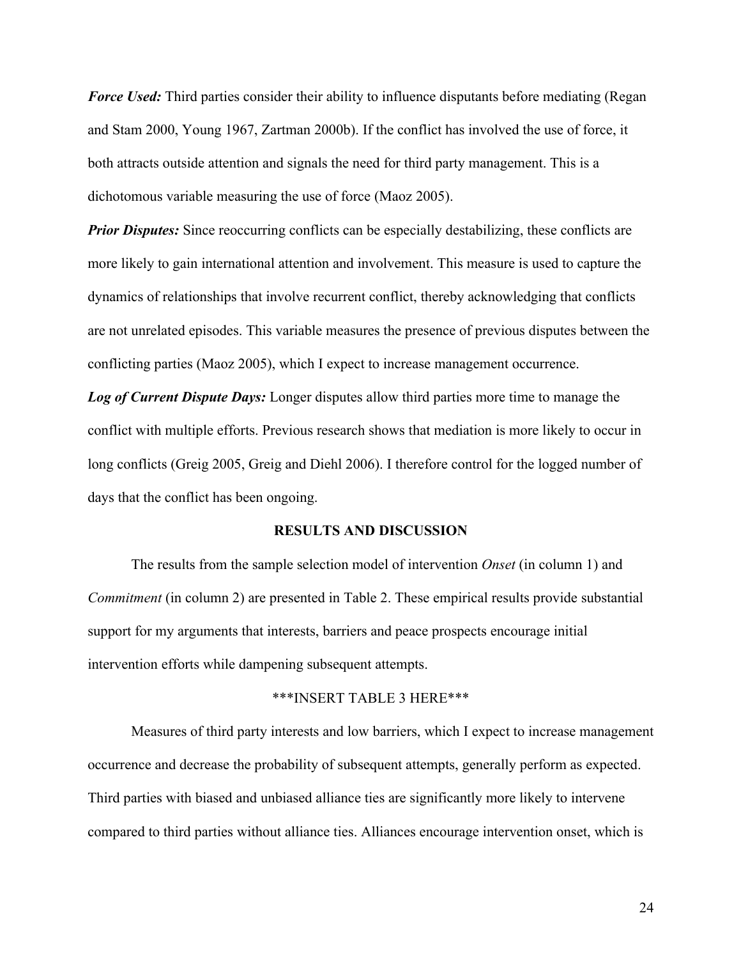*Force Used:* Third parties consider their ability to influence disputants before mediating (Regan and Stam 2000, Young 1967, Zartman 2000b). If the conflict has involved the use of force, it both attracts outside attention and signals the need for third party management. This is a dichotomous variable measuring the use of force (Maoz 2005).

*Prior Disputes:* Since reoccurring conflicts can be especially destabilizing, these conflicts are more likely to gain international attention and involvement. This measure is used to capture the dynamics of relationships that involve recurrent conflict, thereby acknowledging that conflicts are not unrelated episodes. This variable measures the presence of previous disputes between the conflicting parties (Maoz 2005), which I expect to increase management occurrence.

*Log of Current Dispute Days:* Longer disputes allow third parties more time to manage the conflict with multiple efforts. Previous research shows that mediation is more likely to occur in long conflicts (Greig 2005, Greig and Diehl 2006). I therefore control for the logged number of days that the conflict has been ongoing.

#### **RESULTS AND DISCUSSION**

The results from the sample selection model of intervention *Onset* (in column 1) and *Commitment* (in column 2) are presented in Table 2. These empirical results provide substantial support for my arguments that interests, barriers and peace prospects encourage initial intervention efforts while dampening subsequent attempts.

#### \*\*\*INSERT TABLE 3 HERE\*\*\*

Measures of third party interests and low barriers, which I expect to increase management occurrence and decrease the probability of subsequent attempts, generally perform as expected. Third parties with biased and unbiased alliance ties are significantly more likely to intervene compared to third parties without alliance ties. Alliances encourage intervention onset, which is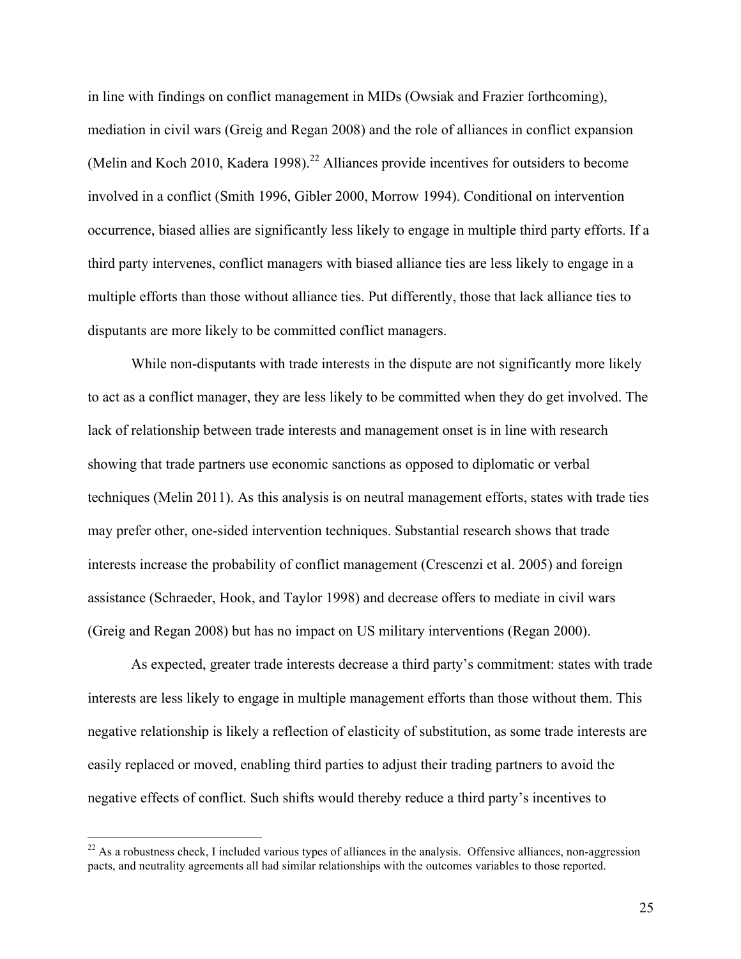in line with findings on conflict management in MIDs (Owsiak and Frazier forthcoming), mediation in civil wars (Greig and Regan 2008) and the role of alliances in conflict expansion (Melin and Koch 2010, Kadera 1998).<sup>22</sup> Alliances provide incentives for outsiders to become involved in a conflict (Smith 1996, Gibler 2000, Morrow 1994). Conditional on intervention occurrence, biased allies are significantly less likely to engage in multiple third party efforts. If a third party intervenes, conflict managers with biased alliance ties are less likely to engage in a multiple efforts than those without alliance ties. Put differently, those that lack alliance ties to disputants are more likely to be committed conflict managers.

While non-disputants with trade interests in the dispute are not significantly more likely to act as a conflict manager, they are less likely to be committed when they do get involved. The lack of relationship between trade interests and management onset is in line with research showing that trade partners use economic sanctions as opposed to diplomatic or verbal techniques (Melin 2011). As this analysis is on neutral management efforts, states with trade ties may prefer other, one-sided intervention techniques. Substantial research shows that trade interests increase the probability of conflict management (Crescenzi et al. 2005) and foreign assistance (Schraeder, Hook, and Taylor 1998) and decrease offers to mediate in civil wars (Greig and Regan 2008) but has no impact on US military interventions (Regan 2000).

As expected, greater trade interests decrease a third party's commitment: states with trade interests are less likely to engage in multiple management efforts than those without them. This negative relationship is likely a reflection of elasticity of substitution, as some trade interests are easily replaced or moved, enabling third parties to adjust their trading partners to avoid the negative effects of conflict. Such shifts would thereby reduce a third party's incentives to

 $22$  As a robustness check, I included various types of alliances in the analysis. Offensive alliances, non-aggression pacts, and neutrality agreements all had similar relationships with the outcomes variables to those reported.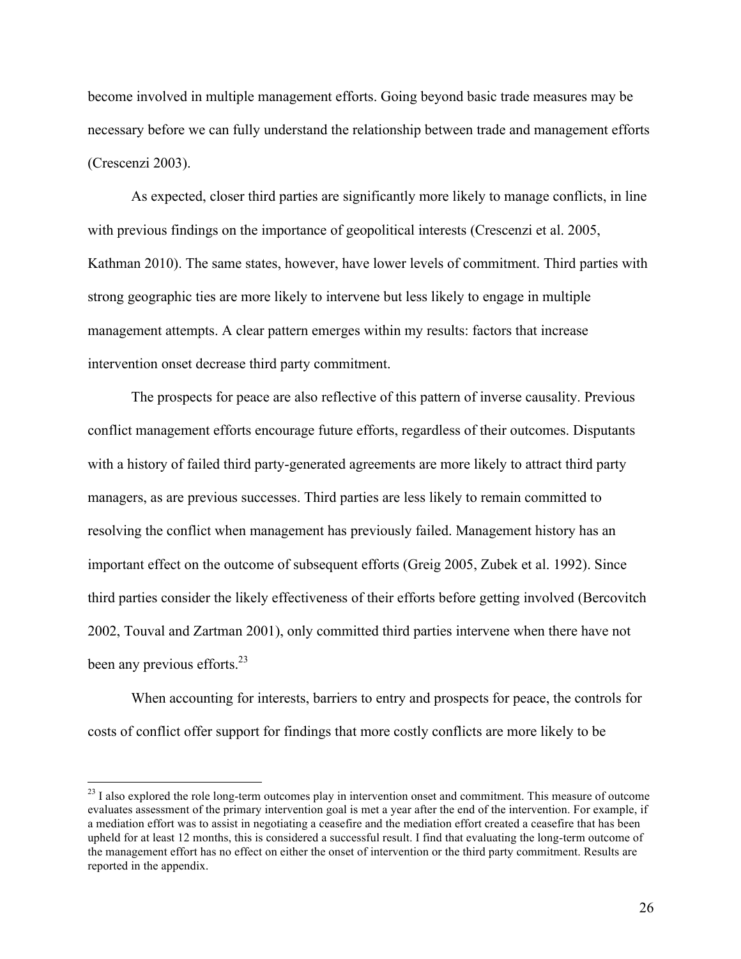become involved in multiple management efforts. Going beyond basic trade measures may be necessary before we can fully understand the relationship between trade and management efforts (Crescenzi 2003).

As expected, closer third parties are significantly more likely to manage conflicts, in line with previous findings on the importance of geopolitical interests (Crescenzi et al. 2005, Kathman 2010). The same states, however, have lower levels of commitment. Third parties with strong geographic ties are more likely to intervene but less likely to engage in multiple management attempts. A clear pattern emerges within my results: factors that increase intervention onset decrease third party commitment.

The prospects for peace are also reflective of this pattern of inverse causality. Previous conflict management efforts encourage future efforts, regardless of their outcomes. Disputants with a history of failed third party-generated agreements are more likely to attract third party managers, as are previous successes. Third parties are less likely to remain committed to resolving the conflict when management has previously failed. Management history has an important effect on the outcome of subsequent efforts (Greig 2005, Zubek et al. 1992). Since third parties consider the likely effectiveness of their efforts before getting involved (Bercovitch 2002, Touval and Zartman 2001), only committed third parties intervene when there have not been any previous efforts.<sup>23</sup>

When accounting for interests, barriers to entry and prospects for peace, the controls for costs of conflict offer support for findings that more costly conflicts are more likely to be

 $^{23}$  I also explored the role long-term outcomes play in intervention onset and commitment. This measure of outcome evaluates assessment of the primary intervention goal is met a year after the end of the intervention. For example, if a mediation effort was to assist in negotiating a ceasefire and the mediation effort created a ceasefire that has been upheld for at least 12 months, this is considered a successful result. I find that evaluating the long-term outcome of the management effort has no effect on either the onset of intervention or the third party commitment. Results are reported in the appendix.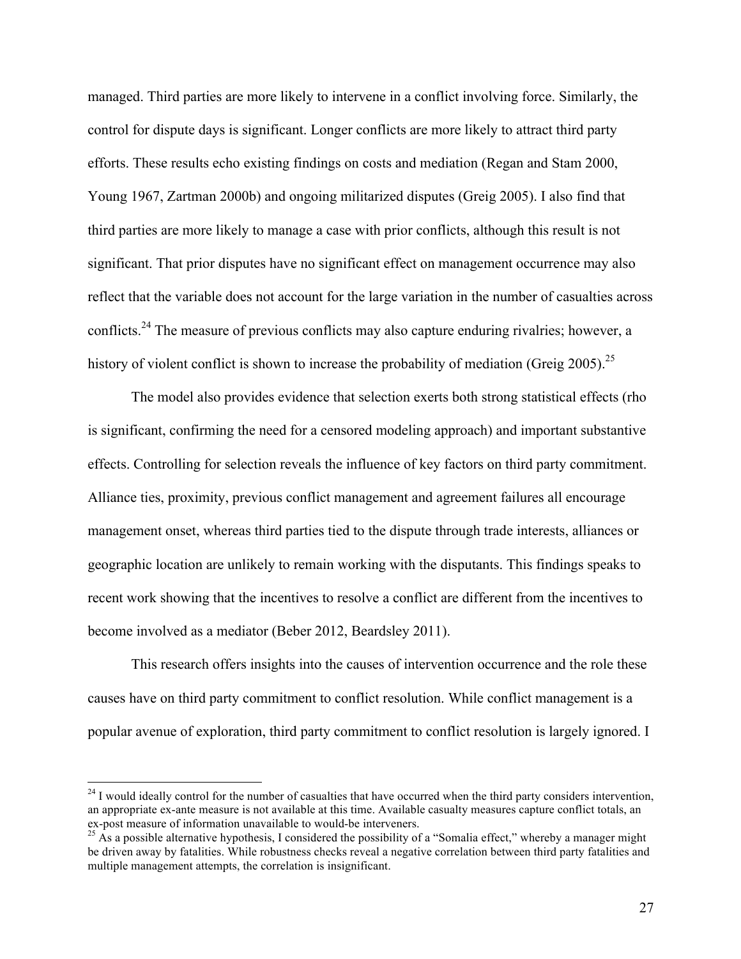managed. Third parties are more likely to intervene in a conflict involving force. Similarly, the control for dispute days is significant. Longer conflicts are more likely to attract third party efforts. These results echo existing findings on costs and mediation (Regan and Stam 2000, Young 1967, Zartman 2000b) and ongoing militarized disputes (Greig 2005). I also find that third parties are more likely to manage a case with prior conflicts, although this result is not significant. That prior disputes have no significant effect on management occurrence may also reflect that the variable does not account for the large variation in the number of casualties across conflicts.<sup>24</sup> The measure of previous conflicts may also capture enduring rivalries; however, a history of violent conflict is shown to increase the probability of mediation (Greig 2005).<sup>25</sup>

The model also provides evidence that selection exerts both strong statistical effects (rho is significant, confirming the need for a censored modeling approach) and important substantive effects. Controlling for selection reveals the influence of key factors on third party commitment. Alliance ties, proximity, previous conflict management and agreement failures all encourage management onset, whereas third parties tied to the dispute through trade interests, alliances or geographic location are unlikely to remain working with the disputants. This findings speaks to recent work showing that the incentives to resolve a conflict are different from the incentives to become involved as a mediator (Beber 2012, Beardsley 2011).

This research offers insights into the causes of intervention occurrence and the role these causes have on third party commitment to conflict resolution. While conflict management is a popular avenue of exploration, third party commitment to conflict resolution is largely ignored. I

 $24$  I would ideally control for the number of casualties that have occurred when the third party considers intervention, an appropriate ex-ante measure is not available at this time. Available casualty measures capture conflict totals, an ex-post measure of information unavailable to would-be interveners.<br><sup>25</sup> As a possible alternative hypothesis, I considered the possibility of a "Somalia effect," whereby a manager might

be driven away by fatalities. While robustness checks reveal a negative correlation between third party fatalities and multiple management attempts, the correlation is insignificant.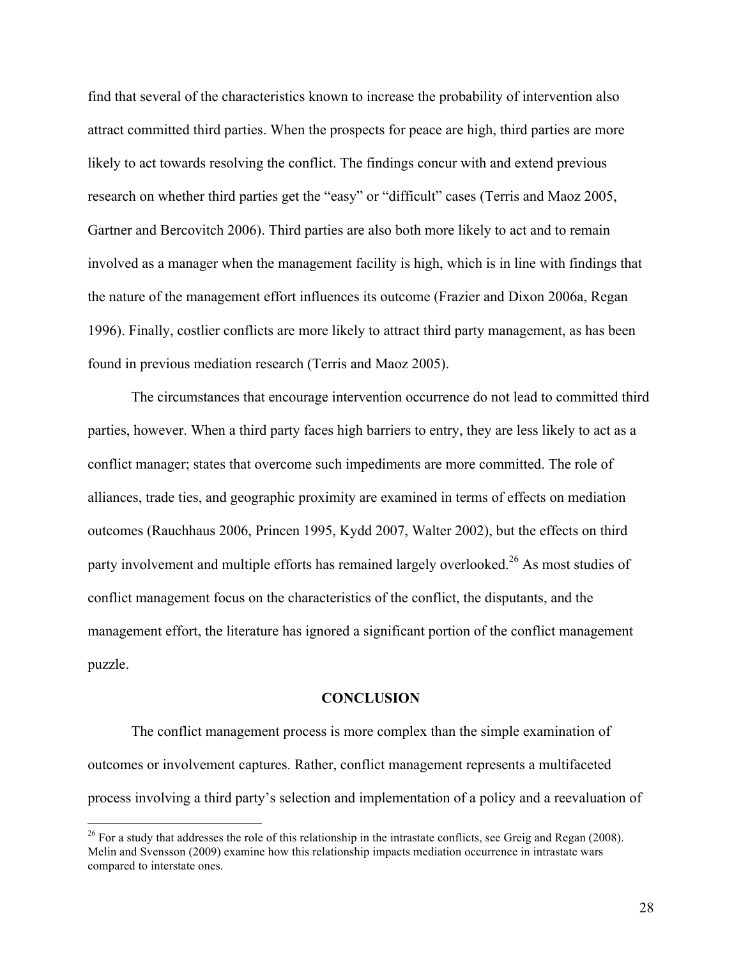find that several of the characteristics known to increase the probability of intervention also attract committed third parties. When the prospects for peace are high, third parties are more likely to act towards resolving the conflict. The findings concur with and extend previous research on whether third parties get the "easy" or "difficult" cases (Terris and Maoz 2005, Gartner and Bercovitch 2006). Third parties are also both more likely to act and to remain involved as a manager when the management facility is high, which is in line with findings that the nature of the management effort influences its outcome (Frazier and Dixon 2006a, Regan 1996). Finally, costlier conflicts are more likely to attract third party management, as has been found in previous mediation research (Terris and Maoz 2005).

The circumstances that encourage intervention occurrence do not lead to committed third parties, however. When a third party faces high barriers to entry, they are less likely to act as a conflict manager; states that overcome such impediments are more committed. The role of alliances, trade ties, and geographic proximity are examined in terms of effects on mediation outcomes (Rauchhaus 2006, Princen 1995, Kydd 2007, Walter 2002), but the effects on third party involvement and multiple efforts has remained largely overlooked.<sup>26</sup> As most studies of conflict management focus on the characteristics of the conflict, the disputants, and the management effort, the literature has ignored a significant portion of the conflict management puzzle.

#### **CONCLUSION**

The conflict management process is more complex than the simple examination of outcomes or involvement captures. Rather, conflict management represents a multifaceted process involving a third party's selection and implementation of a policy and a reevaluation of

 $26$  For a study that addresses the role of this relationship in the intrastate conflicts, see Greig and Regan (2008). Melin and Svensson (2009) examine how this relationship impacts mediation occurrence in intrastate wars compared to interstate ones.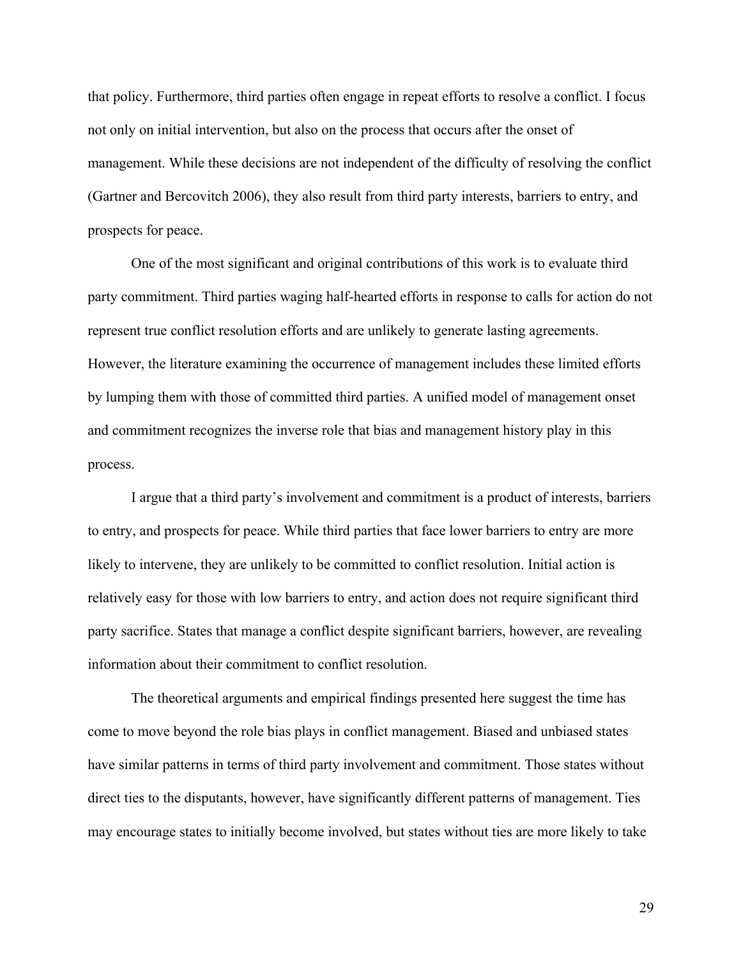that policy. Furthermore, third parties often engage in repeat efforts to resolve a conflict. I focus not only on initial intervention, but also on the process that occurs after the onset of management. While these decisions are not independent of the difficulty of resolving the conflict (Gartner and Bercovitch 2006), they also result from third party interests, barriers to entry, and prospects for peace.

One of the most significant and original contributions of this work is to evaluate third party commitment. Third parties waging half-hearted efforts in response to calls for action do not represent true conflict resolution efforts and are unlikely to generate lasting agreements. However, the literature examining the occurrence of management includes these limited efforts by lumping them with those of committed third parties. A unified model of management onset and commitment recognizes the inverse role that bias and management history play in this process.

I argue that a third party's involvement and commitment is a product of interests, barriers to entry, and prospects for peace. While third parties that face lower barriers to entry are more likely to intervene, they are unlikely to be committed to conflict resolution. Initial action is relatively easy for those with low barriers to entry, and action does not require significant third party sacrifice. States that manage a conflict despite significant barriers, however, are revealing information about their commitment to conflict resolution.

The theoretical arguments and empirical findings presented here suggest the time has come to move beyond the role bias plays in conflict management. Biased and unbiased states have similar patterns in terms of third party involvement and commitment. Those states without direct ties to the disputants, however, have significantly different patterns of management. Ties may encourage states to initially become involved, but states without ties are more likely to take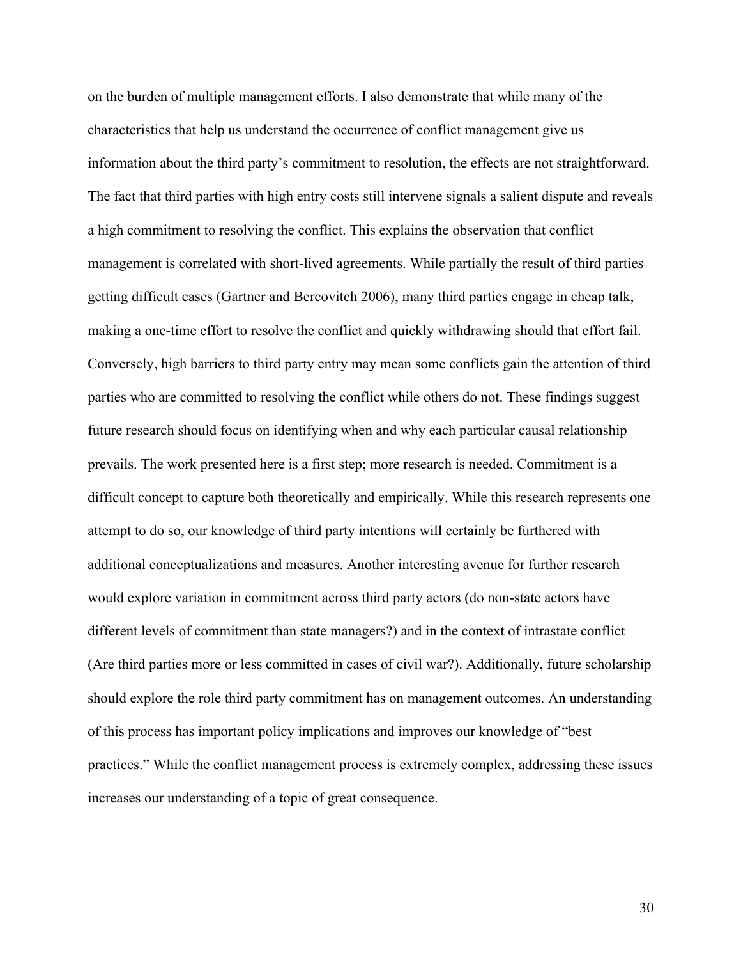on the burden of multiple management efforts. I also demonstrate that while many of the characteristics that help us understand the occurrence of conflict management give us information about the third party's commitment to resolution, the effects are not straightforward. The fact that third parties with high entry costs still intervene signals a salient dispute and reveals a high commitment to resolving the conflict. This explains the observation that conflict management is correlated with short-lived agreements. While partially the result of third parties getting difficult cases (Gartner and Bercovitch 2006), many third parties engage in cheap talk, making a one-time effort to resolve the conflict and quickly withdrawing should that effort fail. Conversely, high barriers to third party entry may mean some conflicts gain the attention of third parties who are committed to resolving the conflict while others do not. These findings suggest future research should focus on identifying when and why each particular causal relationship prevails. The work presented here is a first step; more research is needed. Commitment is a difficult concept to capture both theoretically and empirically. While this research represents one attempt to do so, our knowledge of third party intentions will certainly be furthered with additional conceptualizations and measures. Another interesting avenue for further research would explore variation in commitment across third party actors (do non-state actors have different levels of commitment than state managers?) and in the context of intrastate conflict (Are third parties more or less committed in cases of civil war?). Additionally, future scholarship should explore the role third party commitment has on management outcomes. An understanding of this process has important policy implications and improves our knowledge of "best practices." While the conflict management process is extremely complex, addressing these issues increases our understanding of a topic of great consequence.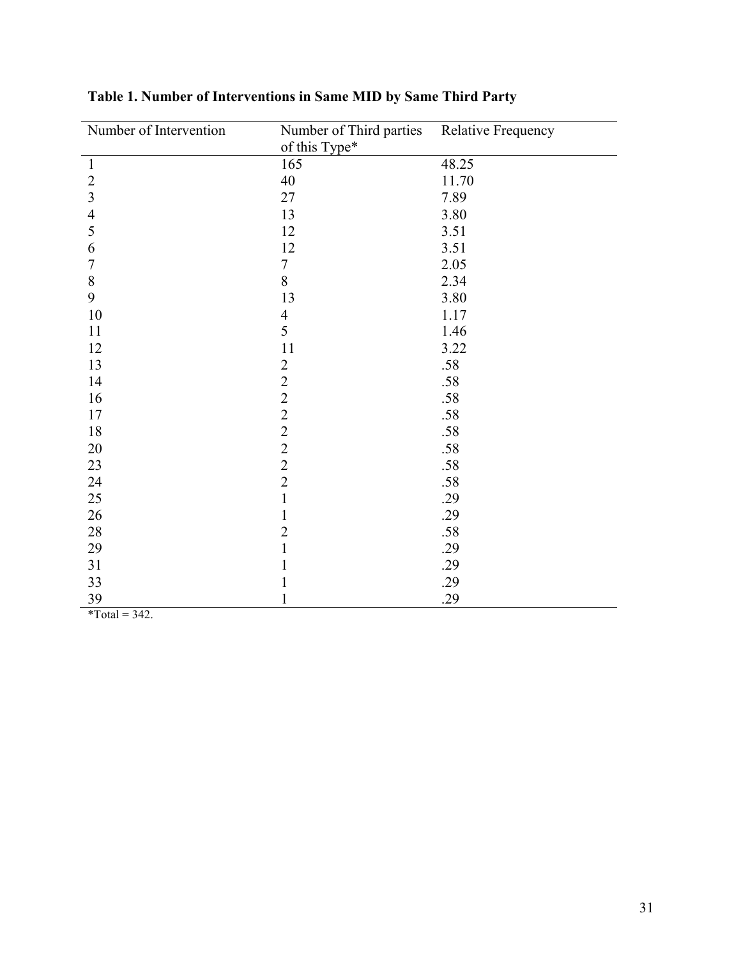| Number of Intervention | Number of Third parties                           | <b>Relative Frequency</b> |
|------------------------|---------------------------------------------------|---------------------------|
|                        | of this Type*                                     |                           |
| $\mathbf{1}$           | 165                                               | 48.25                     |
| $\overline{2}$         | 40                                                | 11.70                     |
| $\overline{3}$         | 27                                                | 7.89                      |
| $\overline{4}$         | 13                                                | 3.80                      |
| 5                      | 12                                                | 3.51                      |
| 6                      | 12                                                | 3.51                      |
| $\boldsymbol{7}$       | $\overline{7}$                                    | 2.05                      |
| $\, 8$                 | 8                                                 | 2.34                      |
| 9                      | 13                                                | 3.80                      |
| 10                     | $\overline{4}$                                    | 1.17                      |
| 11                     | $\overline{5}$                                    | 1.46                      |
| 12                     | 11                                                | 3.22                      |
| 13                     | $\overline{2}$                                    | .58                       |
| 14                     | $\frac{2}{2}$                                     | .58                       |
| 16                     |                                                   | .58                       |
| 17                     | $\begin{array}{c}\n2 \\ 2 \\ 2 \\ 2\n\end{array}$ | .58                       |
| 18                     |                                                   | .58                       |
| 20                     |                                                   | .58                       |
| 23                     |                                                   | .58                       |
| 24                     |                                                   | .58                       |
| 25                     | $\mathbf{1}$                                      | .29                       |
| 26                     | $\mathbf{1}$                                      | .29                       |
| 28                     | $\overline{2}$                                    | .58                       |
| 29                     | $\mathbf{1}$                                      | .29                       |
| 31                     | $\mathbf{1}$                                      | .29                       |
| 33                     | $\mathbf{1}$                                      | .29                       |
| 39                     | $\mathbf 1$                                       | .29                       |

## **Table 1. Number of Interventions in Same MID by Same Third Party**

 $\text{*Total} = 342.$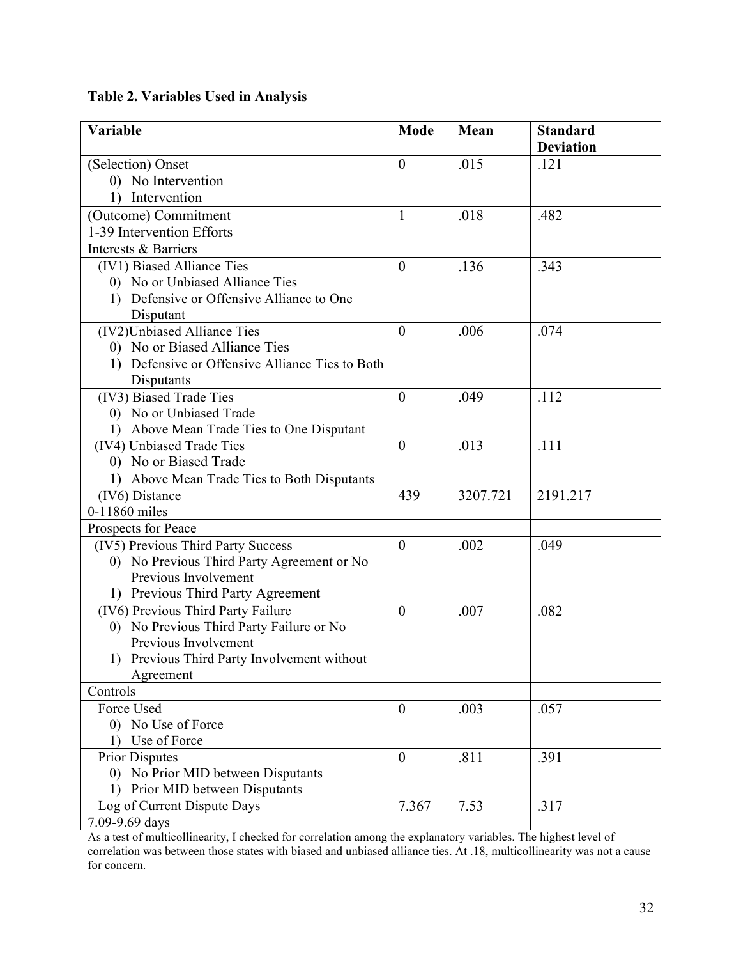**Table 2. Variables Used in Analysis**

| Variable                                        | <b>Mode</b>    | Mean     | <b>Standard</b><br><b>Deviation</b> |
|-------------------------------------------------|----------------|----------|-------------------------------------|
| (Selection) Onset                               | $\theta$       | .015     | .121                                |
| 0) No Intervention                              |                |          |                                     |
| Intervention                                    |                |          |                                     |
| (Outcome) Commitment                            | 1              | .018     | .482                                |
| 1-39 Intervention Efforts                       |                |          |                                     |
| Interests & Barriers                            |                |          |                                     |
| (IV1) Biased Alliance Ties                      | $\overline{0}$ | .136     | .343                                |
| 0) No or Unbiased Alliance Ties                 |                |          |                                     |
| 1) Defensive or Offensive Alliance to One       |                |          |                                     |
| Disputant                                       |                |          |                                     |
| (IV2)Unbiased Alliance Ties                     | $\overline{0}$ | .006     | .074                                |
| 0) No or Biased Alliance Ties                   |                |          |                                     |
| 1) Defensive or Offensive Alliance Ties to Both |                |          |                                     |
| Disputants                                      |                |          |                                     |
| (IV3) Biased Trade Ties                         | $\overline{0}$ | .049     | .112                                |
| 0) No or Unbiased Trade                         |                |          |                                     |
| 1) Above Mean Trade Ties to One Disputant       |                |          |                                     |
| (IV4) Unbiased Trade Ties                       | $\theta$       | .013     | .111                                |
| 0) No or Biased Trade                           |                |          |                                     |
| 1) Above Mean Trade Ties to Both Disputants     |                |          |                                     |
| (IV6) Distance                                  | 439            | 3207.721 | 2191.217                            |
| 0-11860 miles                                   |                |          |                                     |
| Prospects for Peace                             |                |          |                                     |
| (IV5) Previous Third Party Success              | $\theta$       | .002     | .049                                |
| 0) No Previous Third Party Agreement or No      |                |          |                                     |
| Previous Involvement                            |                |          |                                     |
| 1) Previous Third Party Agreement               |                |          |                                     |
| (IV6) Previous Third Party Failure              | $\theta$       | .007     | .082                                |
| 0) No Previous Third Party Failure or No        |                |          |                                     |
| Previous Involvement                            |                |          |                                     |
| 1) Previous Third Party Involvement without     |                |          |                                     |
| Agreement                                       |                |          |                                     |
| Controls                                        |                |          |                                     |
| Force Used                                      | $\overline{0}$ | .003     | .057                                |
| 0) No Use of Force                              |                |          |                                     |
| Use of Force<br>$\overline{1}$                  |                |          |                                     |
| <b>Prior Disputes</b>                           | $\theta$       | .811     | .391                                |
| 0) No Prior MID between Disputants              |                |          |                                     |
| Prior MID between Disputants<br>$\mathbf{D}$    | 7.367          |          |                                     |
| Log of Current Dispute Days                     |                | 7.53     | .317                                |
| 7.09-9.69 days                                  |                |          |                                     |

As a test of multicollinearity, I checked for correlation among the explanatory variables. The highest level of correlation was between those states with biased and unbiased alliance ties. At .18, multicollinearity was not a cause for concern.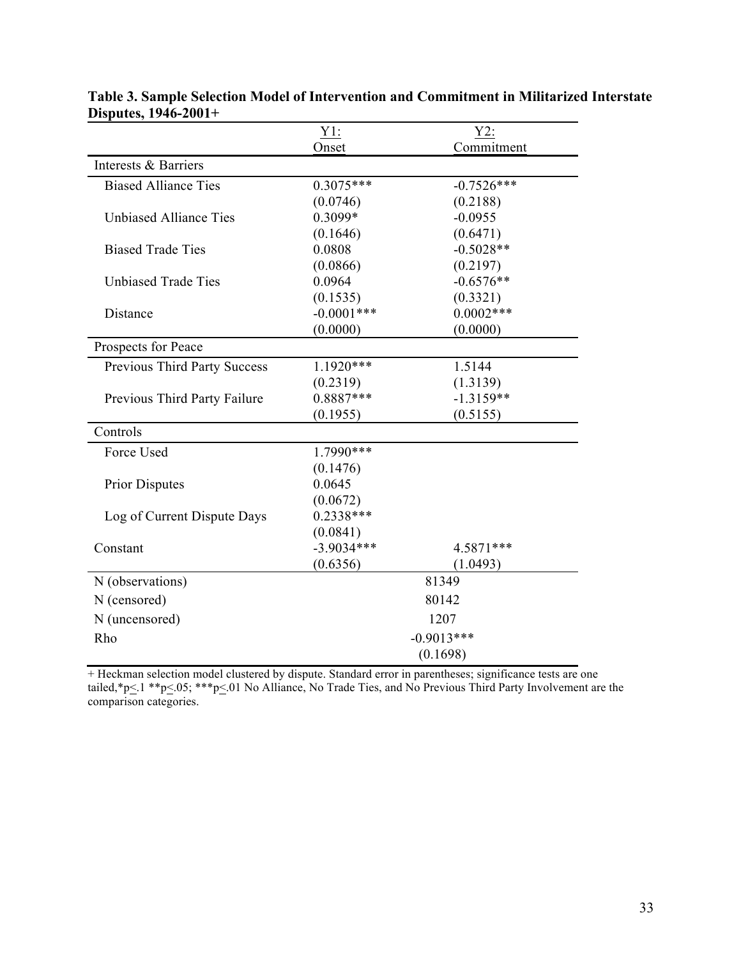|                                     | $Y1$ :        | Y2:          |
|-------------------------------------|---------------|--------------|
|                                     | Onset         | Commitment   |
| Interests & Barriers                |               |              |
| <b>Biased Alliance Ties</b>         | $0.3075***$   | $-0.7526***$ |
|                                     | (0.0746)      | (0.2188)     |
| <b>Unbiased Alliance Ties</b>       | 0.3099*       | $-0.0955$    |
|                                     | (0.1646)      | (0.6471)     |
| <b>Biased Trade Ties</b>            | 0.0808        | $-0.5028**$  |
|                                     | (0.0866)      | (0.2197)     |
| <b>Unbiased Trade Ties</b>          | 0.0964        | $-0.6576**$  |
|                                     | (0.1535)      | (0.3321)     |
| Distance                            | $-0.0001$ *** | $0.0002***$  |
|                                     | (0.0000)      | (0.0000)     |
| Prospects for Peace                 |               |              |
| <b>Previous Third Party Success</b> | $1.1920***$   | 1.5144       |
|                                     | (0.2319)      | (1.3139)     |
| Previous Third Party Failure        | $0.8887***$   | $-1.3159**$  |
|                                     | (0.1955)      | (0.5155)     |
| Controls                            |               |              |
| Force Used                          | 1.7990***     |              |
|                                     | (0.1476)      |              |
| <b>Prior Disputes</b>               | 0.0645        |              |
|                                     | (0.0672)      |              |
| Log of Current Dispute Days         | $0.2338***$   |              |
|                                     | (0.0841)      |              |
| Constant                            | $-3.9034***$  | 4.5871***    |
|                                     | (0.6356)      | (1.0493)     |
| N (observations)                    | 81349         |              |
| N (censored)                        | 80142         |              |
| N (uncensored)                      | 1207          |              |
| Rho                                 | $-0.9013***$  |              |
|                                     | (0.1698)      |              |

| Table 3. Sample Selection Model of Intervention and Commitment in Militarized Interstate |  |
|------------------------------------------------------------------------------------------|--|
| Disputes, $1946-2001+$                                                                   |  |

+ Heckman selection model clustered by dispute. Standard error in parentheses; significance tests are one tailed,\*p<.1 \*\*p<.05; \*\*\*p<.01 No Alliance, No Trade Ties, and No Previous Third Party Involvement are the comparison categories.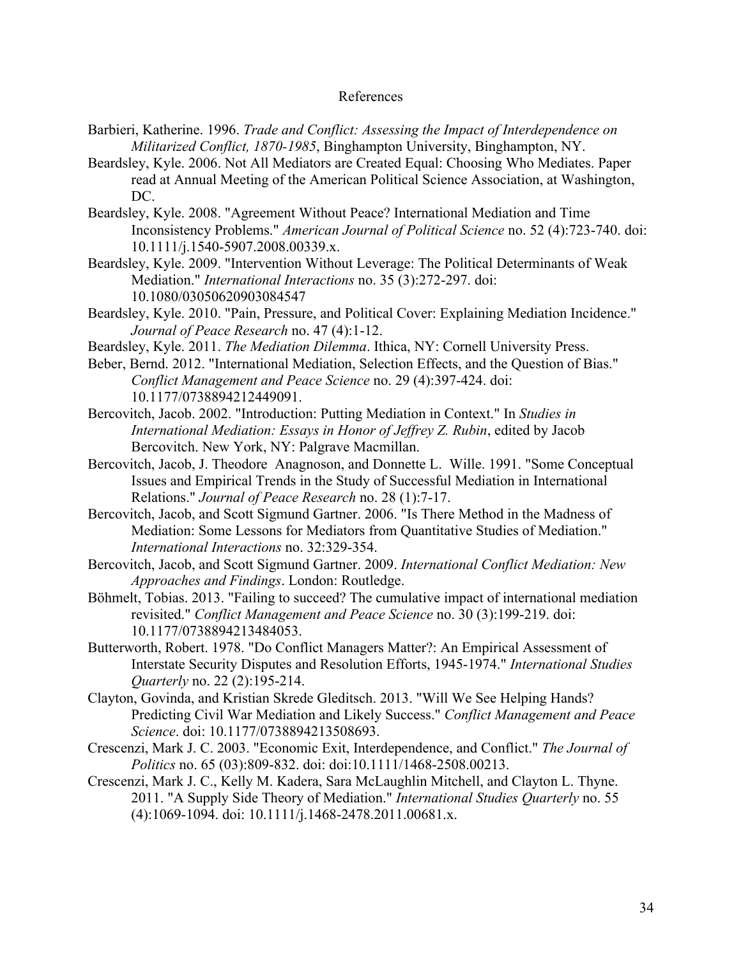#### References

- Barbieri, Katherine. 1996. *Trade and Conflict: Assessing the Impact of Interdependence on Militarized Conflict, 1870-1985*, Binghampton University, Binghampton, NY.
- Beardsley, Kyle. 2006. Not All Mediators are Created Equal: Choosing Who Mediates. Paper read at Annual Meeting of the American Political Science Association, at Washington, DC.
- Beardsley, Kyle. 2008. "Agreement Without Peace? International Mediation and Time Inconsistency Problems." *American Journal of Political Science* no. 52 (4):723-740. doi: 10.1111/j.1540-5907.2008.00339.x.
- Beardsley, Kyle. 2009. "Intervention Without Leverage: The Political Determinants of Weak Mediation." *International Interactions* no. 35 (3):272-297. doi: 10.1080/03050620903084547
- Beardsley, Kyle. 2010. "Pain, Pressure, and Political Cover: Explaining Mediation Incidence." *Journal of Peace Research* no. 47 (4):1-12.
- Beardsley, Kyle. 2011. *The Mediation Dilemma*. Ithica, NY: Cornell University Press.
- Beber, Bernd. 2012. "International Mediation, Selection Effects, and the Question of Bias." *Conflict Management and Peace Science* no. 29 (4):397-424. doi: 10.1177/0738894212449091.
- Bercovitch, Jacob. 2002. "Introduction: Putting Mediation in Context." In *Studies in International Mediation: Essays in Honor of Jeffrey Z. Rubin*, edited by Jacob Bercovitch. New York, NY: Palgrave Macmillan.
- Bercovitch, Jacob, J. Theodore Anagnoson, and Donnette L. Wille. 1991. "Some Conceptual Issues and Empirical Trends in the Study of Successful Mediation in International Relations." *Journal of Peace Research* no. 28 (1):7-17.
- Bercovitch, Jacob, and Scott Sigmund Gartner. 2006. "Is There Method in the Madness of Mediation: Some Lessons for Mediators from Quantitative Studies of Mediation." *International Interactions* no. 32:329-354.
- Bercovitch, Jacob, and Scott Sigmund Gartner. 2009. *International Conflict Mediation: New Approaches and Findings*. London: Routledge.
- Böhmelt, Tobias. 2013. "Failing to succeed? The cumulative impact of international mediation revisited." *Conflict Management and Peace Science* no. 30 (3):199-219. doi: 10.1177/0738894213484053.
- Butterworth, Robert. 1978. "Do Conflict Managers Matter?: An Empirical Assessment of Interstate Security Disputes and Resolution Efforts, 1945-1974." *International Studies Quarterly* no. 22 (2):195-214.
- Clayton, Govinda, and Kristian Skrede Gleditsch. 2013. "Will We See Helping Hands? Predicting Civil War Mediation and Likely Success." *Conflict Management and Peace Science*. doi: 10.1177/0738894213508693.
- Crescenzi, Mark J. C. 2003. "Economic Exit, Interdependence, and Conflict." *The Journal of Politics* no. 65 (03):809-832. doi: doi:10.1111/1468-2508.00213.
- Crescenzi, Mark J. C., Kelly M. Kadera, Sara McLaughlin Mitchell, and Clayton L. Thyne. 2011. "A Supply Side Theory of Mediation." *International Studies Quarterly* no. 55 (4):1069-1094. doi: 10.1111/j.1468-2478.2011.00681.x.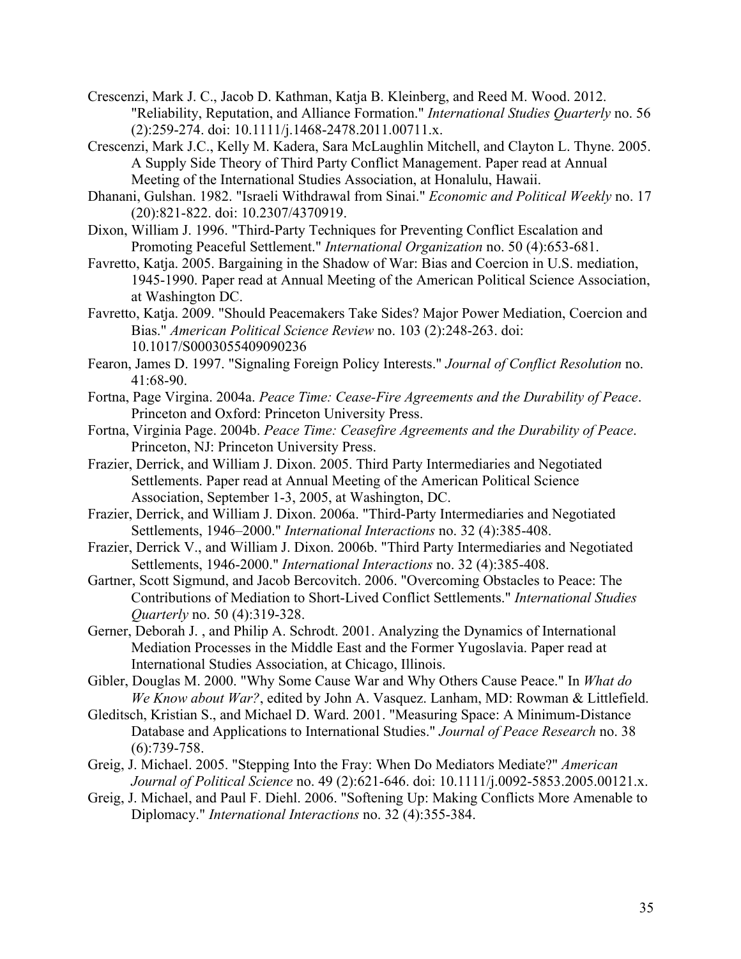Crescenzi, Mark J. C., Jacob D. Kathman, Katja B. Kleinberg, and Reed M. Wood. 2012. "Reliability, Reputation, and Alliance Formation." *International Studies Quarterly* no. 56 (2):259-274. doi: 10.1111/j.1468-2478.2011.00711.x.

- Crescenzi, Mark J.C., Kelly M. Kadera, Sara McLaughlin Mitchell, and Clayton L. Thyne. 2005. A Supply Side Theory of Third Party Conflict Management. Paper read at Annual Meeting of the International Studies Association, at Honalulu, Hawaii.
- Dhanani, Gulshan. 1982. "Israeli Withdrawal from Sinai." *Economic and Political Weekly* no. 17 (20):821-822. doi: 10.2307/4370919.
- Dixon, William J. 1996. "Third-Party Techniques for Preventing Conflict Escalation and Promoting Peaceful Settlement." *International Organization* no. 50 (4):653-681.
- Favretto, Katja. 2005. Bargaining in the Shadow of War: Bias and Coercion in U.S. mediation, 1945-1990. Paper read at Annual Meeting of the American Political Science Association, at Washington DC.
- Favretto, Katja. 2009. "Should Peacemakers Take Sides? Major Power Mediation, Coercion and Bias." *American Political Science Review* no. 103 (2):248-263. doi: 10.1017/S0003055409090236
- Fearon, James D. 1997. "Signaling Foreign Policy Interests." *Journal of Conflict Resolution* no. 41:68-90.
- Fortna, Page Virgina. 2004a. *Peace Time: Cease-Fire Agreements and the Durability of Peace*. Princeton and Oxford: Princeton University Press.
- Fortna, Virginia Page. 2004b. *Peace Time: Ceasefire Agreements and the Durability of Peace*. Princeton, NJ: Princeton University Press.
- Frazier, Derrick, and William J. Dixon. 2005. Third Party Intermediaries and Negotiated Settlements. Paper read at Annual Meeting of the American Political Science Association, September 1-3, 2005, at Washington, DC.
- Frazier, Derrick, and William J. Dixon. 2006a. "Third-Party Intermediaries and Negotiated Settlements, 1946–2000." *International Interactions* no. 32 (4):385-408.
- Frazier, Derrick V., and William J. Dixon. 2006b. "Third Party Intermediaries and Negotiated Settlements, 1946-2000." *International Interactions* no. 32 (4):385-408.
- Gartner, Scott Sigmund, and Jacob Bercovitch. 2006. "Overcoming Obstacles to Peace: The Contributions of Mediation to Short-Lived Conflict Settlements." *International Studies Quarterly* no. 50 (4):319-328.
- Gerner, Deborah J. , and Philip A. Schrodt. 2001. Analyzing the Dynamics of International Mediation Processes in the Middle East and the Former Yugoslavia. Paper read at International Studies Association, at Chicago, Illinois.
- Gibler, Douglas M. 2000. "Why Some Cause War and Why Others Cause Peace." In *What do We Know about War?*, edited by John A. Vasquez. Lanham, MD: Rowman & Littlefield.
- Gleditsch, Kristian S., and Michael D. Ward. 2001. "Measuring Space: A Minimum-Distance Database and Applications to International Studies." *Journal of Peace Research* no. 38 (6):739-758.
- Greig, J. Michael. 2005. "Stepping Into the Fray: When Do Mediators Mediate?" *American Journal of Political Science* no. 49 (2):621-646. doi: 10.1111/j.0092-5853.2005.00121.x.
- Greig, J. Michael, and Paul F. Diehl. 2006. "Softening Up: Making Conflicts More Amenable to Diplomacy." *International Interactions* no. 32 (4):355-384.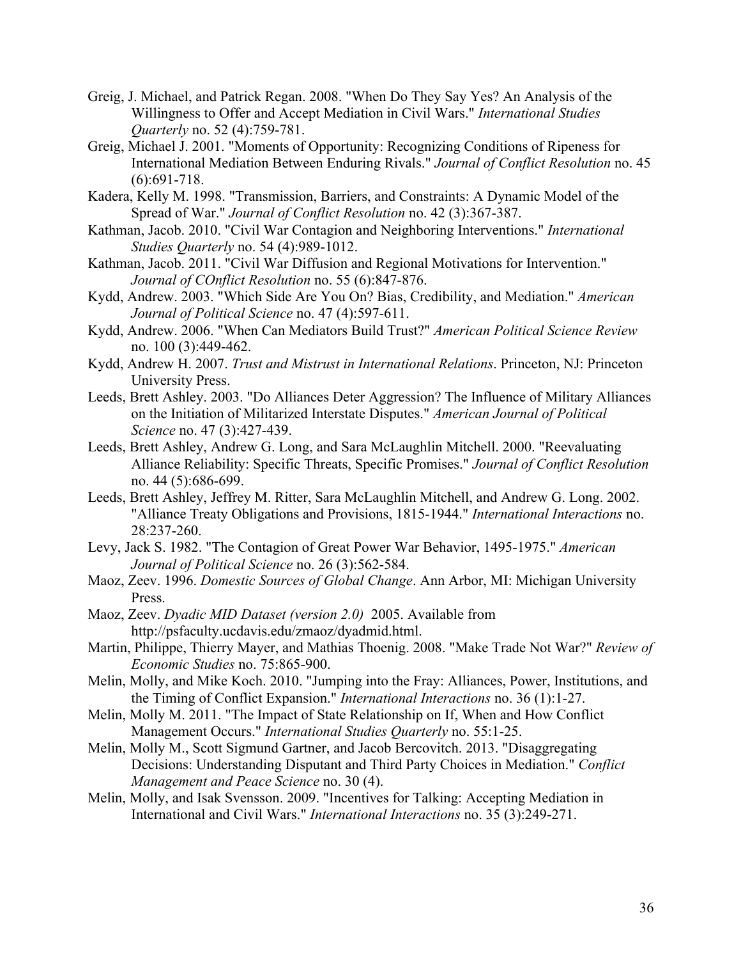- Greig, J. Michael, and Patrick Regan. 2008. "When Do They Say Yes? An Analysis of the Willingness to Offer and Accept Mediation in Civil Wars." *International Studies Quarterly* no. 52 (4):759-781.
- Greig, Michael J. 2001. "Moments of Opportunity: Recognizing Conditions of Ripeness for International Mediation Between Enduring Rivals." *Journal of Conflict Resolution* no. 45 (6):691-718.
- Kadera, Kelly M. 1998. "Transmission, Barriers, and Constraints: A Dynamic Model of the Spread of War." *Journal of Conflict Resolution* no. 42 (3):367-387.
- Kathman, Jacob. 2010. "Civil War Contagion and Neighboring Interventions." *International Studies Quarterly* no. 54 (4):989-1012.
- Kathman, Jacob. 2011. "Civil War Diffusion and Regional Motivations for Intervention." *Journal of COnflict Resolution* no. 55 (6):847-876.
- Kydd, Andrew. 2003. "Which Side Are You On? Bias, Credibility, and Mediation." *American Journal of Political Science* no. 47 (4):597-611.
- Kydd, Andrew. 2006. "When Can Mediators Build Trust?" *American Political Science Review* no. 100 (3):449-462.
- Kydd, Andrew H. 2007. *Trust and Mistrust in International Relations*. Princeton, NJ: Princeton University Press.
- Leeds, Brett Ashley. 2003. "Do Alliances Deter Aggression? The Influence of Military Alliances on the Initiation of Militarized Interstate Disputes." *American Journal of Political Science* no. 47 (3):427-439.
- Leeds, Brett Ashley, Andrew G. Long, and Sara McLaughlin Mitchell. 2000. "Reevaluating Alliance Reliability: Specific Threats, Specific Promises." *Journal of Conflict Resolution* no. 44 (5):686-699.
- Leeds, Brett Ashley, Jeffrey M. Ritter, Sara McLaughlin Mitchell, and Andrew G. Long. 2002. "Alliance Treaty Obligations and Provisions, 1815-1944." *International Interactions* no. 28:237-260.
- Levy, Jack S. 1982. "The Contagion of Great Power War Behavior, 1495-1975." *American Journal of Political Science* no. 26 (3):562-584.
- Maoz, Zeev. 1996. *Domestic Sources of Global Change*. Ann Arbor, MI: Michigan University Press.
- Maoz, Zeev. *Dyadic MID Dataset (version 2.0)* 2005. Available from http://psfaculty.ucdavis.edu/zmaoz/dyadmid.html.
- Martin, Philippe, Thierry Mayer, and Mathias Thoenig. 2008. "Make Trade Not War?" *Review of Economic Studies* no. 75:865-900.
- Melin, Molly, and Mike Koch. 2010. "Jumping into the Fray: Alliances, Power, Institutions, and the Timing of Conflict Expansion." *International Interactions* no. 36 (1):1-27.
- Melin, Molly M. 2011. "The Impact of State Relationship on If, When and How Conflict Management Occurs." *International Studies Quarterly* no. 55:1-25.
- Melin, Molly M., Scott Sigmund Gartner, and Jacob Bercovitch. 2013. "Disaggregating Decisions: Understanding Disputant and Third Party Choices in Mediation." *Conflict Management and Peace Science* no. 30 (4).
- Melin, Molly, and Isak Svensson. 2009. "Incentives for Talking: Accepting Mediation in International and Civil Wars." *International Interactions* no. 35 (3):249-271.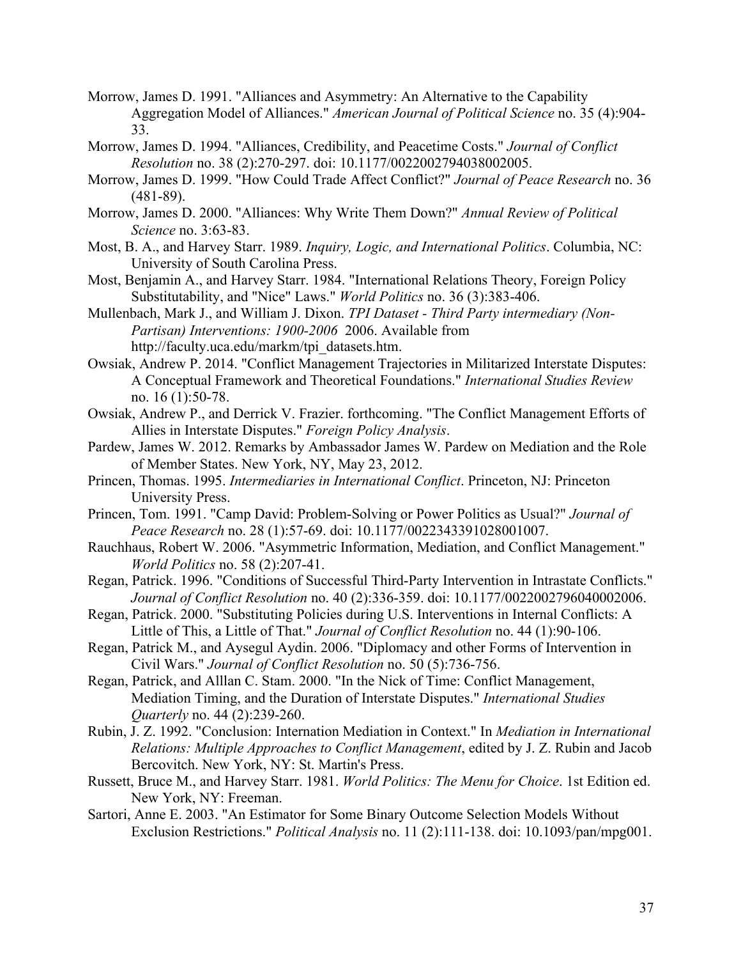- Morrow, James D. 1991. "Alliances and Asymmetry: An Alternative to the Capability Aggregation Model of Alliances." *American Journal of Political Science* no. 35 (4):904- 33.
- Morrow, James D. 1994. "Alliances, Credibility, and Peacetime Costs." *Journal of Conflict Resolution* no. 38 (2):270-297. doi: 10.1177/0022002794038002005.
- Morrow, James D. 1999. "How Could Trade Affect Conflict?" *Journal of Peace Research* no. 36 (481-89).
- Morrow, James D. 2000. "Alliances: Why Write Them Down?" *Annual Review of Political Science* no. 3:63-83.
- Most, B. A., and Harvey Starr. 1989. *Inquiry, Logic, and International Politics*. Columbia, NC: University of South Carolina Press.
- Most, Benjamin A., and Harvey Starr. 1984. "International Relations Theory, Foreign Policy Substitutability, and "Nice" Laws." *World Politics* no. 36 (3):383-406.
- Mullenbach, Mark J., and William J. Dixon. *TPI Dataset - Third Party intermediary (Non-Partisan) Interventions: 1900-2006* 2006. Available from http://faculty.uca.edu/markm/tpi\_datasets.htm.
- Owsiak, Andrew P. 2014. "Conflict Management Trajectories in Militarized Interstate Disputes: A Conceptual Framework and Theoretical Foundations." *International Studies Review* no. 16 (1):50-78.
- Owsiak, Andrew P., and Derrick V. Frazier. forthcoming. "The Conflict Management Efforts of Allies in Interstate Disputes." *Foreign Policy Analysis*.
- Pardew, James W. 2012. Remarks by Ambassador James W. Pardew on Mediation and the Role of Member States. New York, NY, May 23, 2012.
- Princen, Thomas. 1995. *Intermediaries in International Conflict*. Princeton, NJ: Princeton University Press.
- Princen, Tom. 1991. "Camp David: Problem-Solving or Power Politics as Usual?" *Journal of Peace Research* no. 28 (1):57-69. doi: 10.1177/0022343391028001007.
- Rauchhaus, Robert W. 2006. "Asymmetric Information, Mediation, and Conflict Management." *World Politics* no. 58 (2):207-41.
- Regan, Patrick. 1996. "Conditions of Successful Third-Party Intervention in Intrastate Conflicts." *Journal of Conflict Resolution* no. 40 (2):336-359. doi: 10.1177/0022002796040002006.
- Regan, Patrick. 2000. "Substituting Policies during U.S. Interventions in Internal Conflicts: A Little of This, a Little of That." *Journal of Conflict Resolution* no. 44 (1):90-106.
- Regan, Patrick M., and Aysegul Aydin. 2006. "Diplomacy and other Forms of Intervention in Civil Wars." *Journal of Conflict Resolution* no. 50 (5):736-756.
- Regan, Patrick, and Alllan C. Stam. 2000. "In the Nick of Time: Conflict Management, Mediation Timing, and the Duration of Interstate Disputes." *International Studies Quarterly* no. 44 (2):239-260.
- Rubin, J. Z. 1992. "Conclusion: Internation Mediation in Context." In *Mediation in International Relations: Multiple Approaches to Conflict Management*, edited by J. Z. Rubin and Jacob Bercovitch. New York, NY: St. Martin's Press.
- Russett, Bruce M., and Harvey Starr. 1981. *World Politics: The Menu for Choice*. 1st Edition ed. New York, NY: Freeman.
- Sartori, Anne E. 2003. "An Estimator for Some Binary Outcome Selection Models Without Exclusion Restrictions." *Political Analysis* no. 11 (2):111-138. doi: 10.1093/pan/mpg001.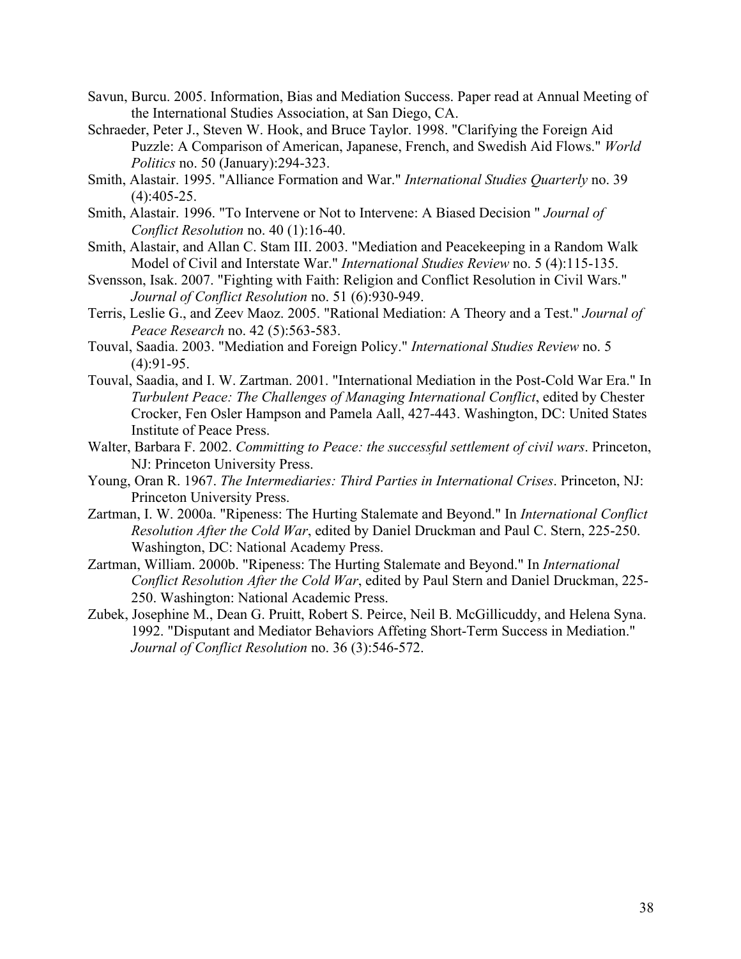- Savun, Burcu. 2005. Information, Bias and Mediation Success. Paper read at Annual Meeting of the International Studies Association, at San Diego, CA.
- Schraeder, Peter J., Steven W. Hook, and Bruce Taylor. 1998. "Clarifying the Foreign Aid Puzzle: A Comparison of American, Japanese, French, and Swedish Aid Flows." *World Politics* no. 50 (January):294-323.
- Smith, Alastair. 1995. "Alliance Formation and War." *International Studies Quarterly* no. 39  $(4):405-25.$
- Smith, Alastair. 1996. "To Intervene or Not to Intervene: A Biased Decision " *Journal of Conflict Resolution* no. 40 (1):16-40.
- Smith, Alastair, and Allan C. Stam III. 2003. "Mediation and Peacekeeping in a Random Walk Model of Civil and Interstate War." *International Studies Review* no. 5 (4):115-135.
- Svensson, Isak. 2007. "Fighting with Faith: Religion and Conflict Resolution in Civil Wars." *Journal of Conflict Resolution* no. 51 (6):930-949.
- Terris, Leslie G., and Zeev Maoz. 2005. "Rational Mediation: A Theory and a Test." *Journal of Peace Research* no. 42 (5):563-583.
- Touval, Saadia. 2003. "Mediation and Foreign Policy." *International Studies Review* no. 5  $(4):91-95.$
- Touval, Saadia, and I. W. Zartman. 2001. "International Mediation in the Post-Cold War Era." In *Turbulent Peace: The Challenges of Managing International Conflict*, edited by Chester Crocker, Fen Osler Hampson and Pamela Aall, 427-443. Washington, DC: United States Institute of Peace Press.
- Walter, Barbara F. 2002. *Committing to Peace: the successful settlement of civil wars*. Princeton, NJ: Princeton University Press.
- Young, Oran R. 1967. *The Intermediaries: Third Parties in International Crises*. Princeton, NJ: Princeton University Press.
- Zartman, I. W. 2000a. "Ripeness: The Hurting Stalemate and Beyond." In *International Conflict Resolution After the Cold War*, edited by Daniel Druckman and Paul C. Stern, 225-250. Washington, DC: National Academy Press.
- Zartman, William. 2000b. "Ripeness: The Hurting Stalemate and Beyond." In *International Conflict Resolution After the Cold War*, edited by Paul Stern and Daniel Druckman, 225- 250. Washington: National Academic Press.
- Zubek, Josephine M., Dean G. Pruitt, Robert S. Peirce, Neil B. McGillicuddy, and Helena Syna. 1992. "Disputant and Mediator Behaviors Affeting Short-Term Success in Mediation." *Journal of Conflict Resolution* no. 36 (3):546-572.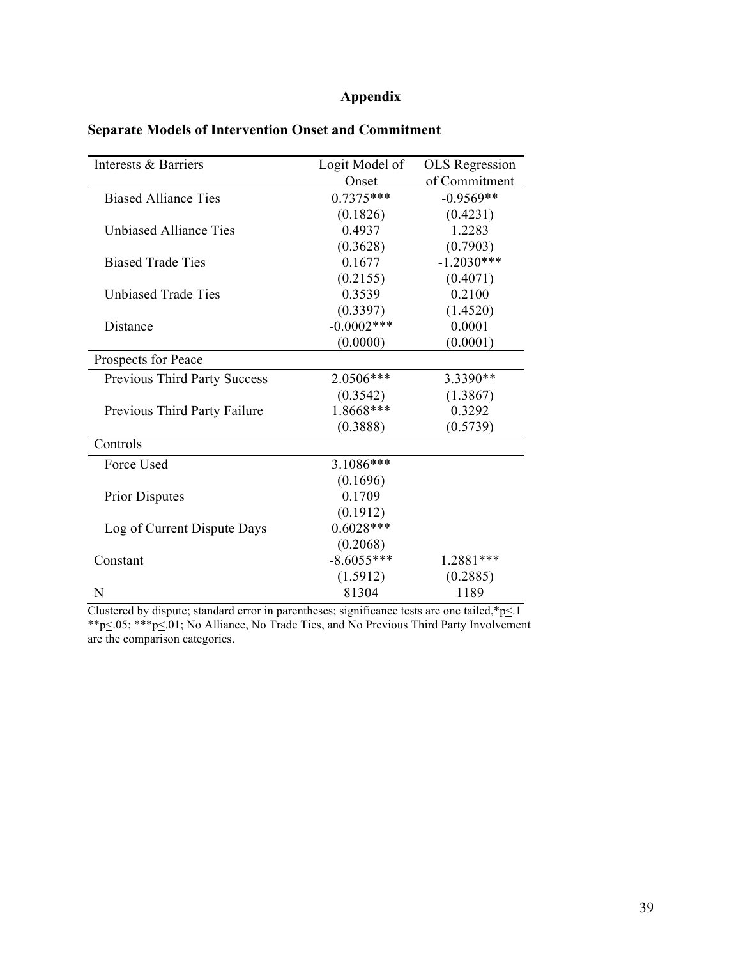### **Appendix**

| Interests & Barriers          | Logit Model of | <b>OLS</b> Regression |
|-------------------------------|----------------|-----------------------|
|                               | Onset          | of Commitment         |
| <b>Biased Alliance Ties</b>   | $0.7375***$    | $-0.9569**$           |
|                               | (0.1826)       | (0.4231)              |
| <b>Unbiased Alliance Ties</b> | 0.4937         | 1.2283                |
|                               | (0.3628)       | (0.7903)              |
| <b>Biased Trade Ties</b>      | 0.1677         | $-1.2030***$          |
|                               | (0.2155)       | (0.4071)              |
| Unbiased Trade Ties           | 0.3539         | 0.2100                |
|                               | (0.3397)       | (1.4520)              |
| Distance                      | $-0.0002$ ***  | 0.0001                |
|                               | (0.0000)       | (0.0001)              |
| Prospects for Peace           |                |                       |
| Previous Third Party Success  | 2.0506***      | 3.3390**              |
|                               | (0.3542)       | (1.3867)              |
| Previous Third Party Failure  | 1.8668***      | 0.3292                |
|                               | (0.3888)       | (0.5739)              |
| Controls                      |                |                       |
| Force Used                    | $3.1086***$    |                       |
|                               | (0.1696)       |                       |
| <b>Prior Disputes</b>         | 0.1709         |                       |
|                               | (0.1912)       |                       |
| Log of Current Dispute Days   | $0.6028***$    |                       |
|                               | (0.2068)       |                       |
| Constant                      | $-8.6055***$   | 1.2881***             |
|                               | (1.5912)       | (0.2885)              |
| N                             | 81304          | 1189                  |

### **Separate Models of Intervention Onset and Commitment**

Clustered by dispute; standard error in parentheses; significance tests are one tailed,  $p \leq 1$ \*\*p $\leq$ .05; \*\*\*p $\leq$ .01; No Alliance, No Trade Ties, and No Previous Third Party Involvement are the comparison categories.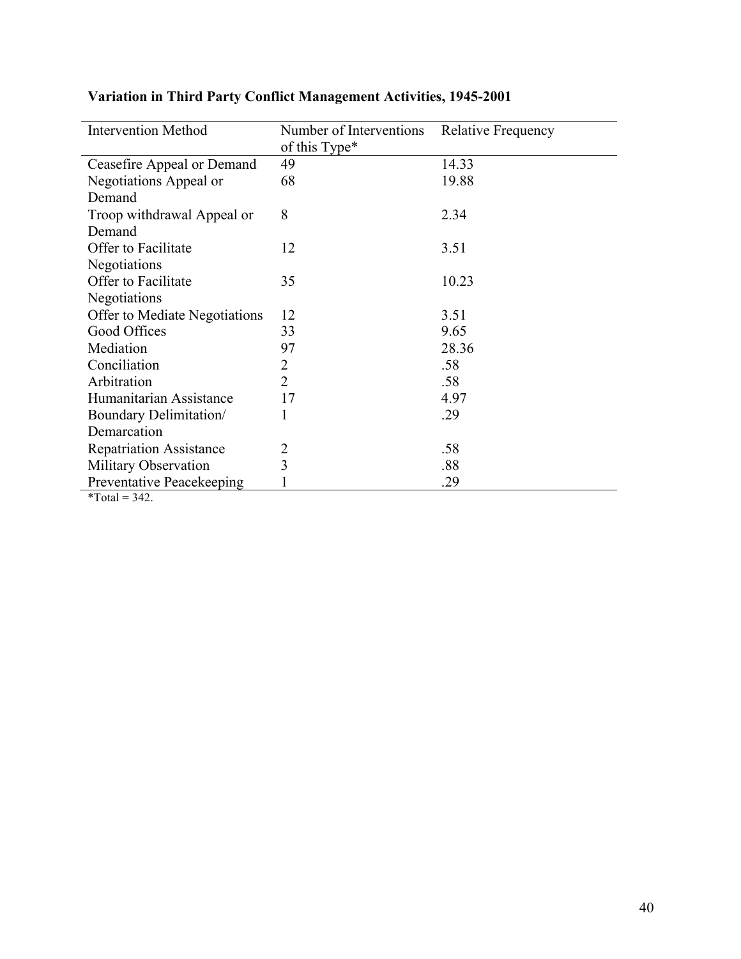| <b>Intervention Method</b>       | Number of Interventions | <b>Relative Frequency</b> |
|----------------------------------|-------------------------|---------------------------|
|                                  | of this Type*           |                           |
| Ceasefire Appeal or Demand       | 49                      | 14.33                     |
| Negotiations Appeal or           | 68                      | 19.88                     |
| Demand                           |                         |                           |
| Troop withdrawal Appeal or       | 8                       | 2.34                      |
| Demand                           |                         |                           |
| Offer to Facilitate              | 12                      | 3.51                      |
| Negotiations                     |                         |                           |
| Offer to Facilitate              | 35                      | 10.23                     |
| Negotiations                     |                         |                           |
| Offer to Mediate Negotiations    | 12                      | 3.51                      |
| Good Offices                     | 33                      | 9.65                      |
| Mediation                        | 97                      | 28.36                     |
| Conciliation                     | 2                       | .58                       |
| Arbitration                      | $\overline{2}$          | .58                       |
| Humanitarian Assistance          | 17                      | 4.97                      |
| Boundary Delimitation/           |                         | .29                       |
| Demarcation                      |                         |                           |
| <b>Repatriation Assistance</b>   | $\overline{2}$          | .58                       |
| Military Observation             | 3                       | .88                       |
| <b>Preventative Peacekeeping</b> |                         | .29                       |
| $*T - 1 = 242$                   |                         |                           |

## **Variation in Third Party Conflict Management Activities, 1945-2001**

 $*Total = 342.$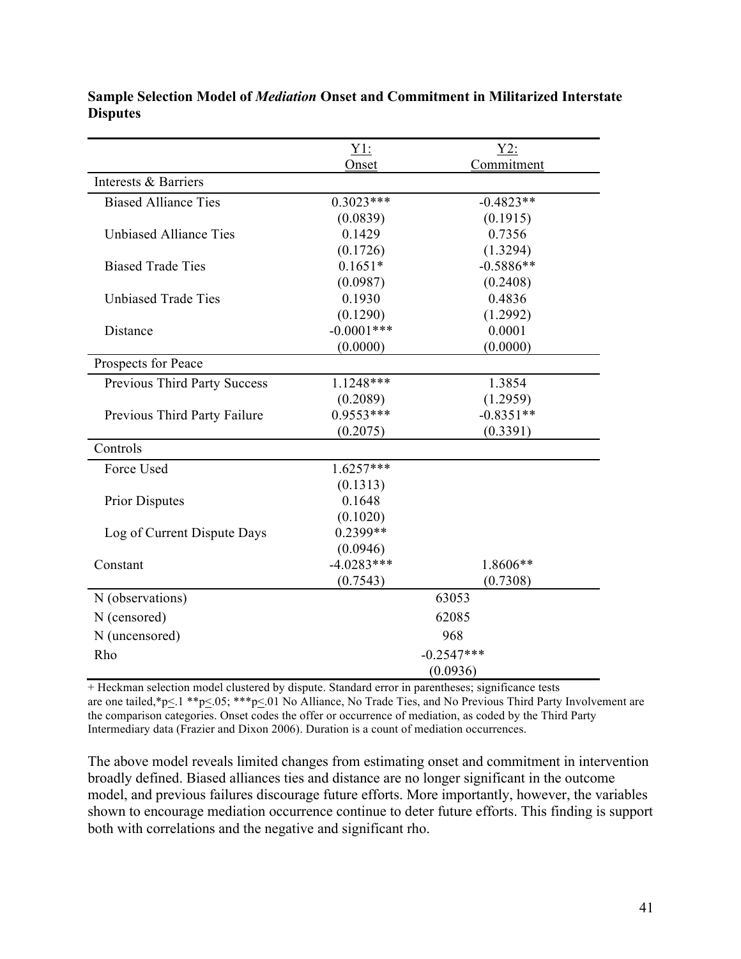|                               | $Y1$ :                   | Y2:         |
|-------------------------------|--------------------------|-------------|
|                               | Onset                    | Commitment  |
| Interests & Barriers          |                          |             |
| <b>Biased Alliance Ties</b>   | $0.3023***$              | $-0.4823**$ |
|                               | (0.0839)                 | (0.1915)    |
| <b>Unbiased Alliance Ties</b> | 0.1429                   | 0.7356      |
|                               | (0.1726)                 | (1.3294)    |
| <b>Biased Trade Ties</b>      | $0.1651*$                | $-0.5886**$ |
|                               | (0.0987)                 | (0.2408)    |
| <b>Unbiased Trade Ties</b>    | 0.1930                   | 0.4836      |
|                               | (0.1290)                 | (1.2992)    |
| Distance                      | $-0.0001$ ***            | 0.0001      |
|                               | (0.0000)                 | (0.0000)    |
| Prospects for Peace           |                          |             |
| Previous Third Party Success  | $1.1248***$              | 1.3854      |
|                               | (0.2089)                 | (1.2959)    |
| Previous Third Party Failure  | $0.9553***$              | $-0.8351**$ |
|                               | (0.2075)                 | (0.3391)    |
| Controls                      |                          |             |
| Force Used                    | $1.6257***$              |             |
|                               | (0.1313)                 |             |
| <b>Prior Disputes</b>         | 0.1648                   |             |
|                               | (0.1020)                 |             |
| Log of Current Dispute Days   | $0.2399**$               |             |
|                               | (0.0946)                 |             |
| Constant                      | $-4.0283***$             | 1.8606**    |
|                               | (0.7543)                 | (0.7308)    |
| N (observations)              | 63053                    |             |
| N (censored)                  | 62085                    |             |
| N (uncensored)                | 968                      |             |
| Rho                           | $-0.2547***$<br>(0.0936) |             |
|                               |                          |             |

**Sample Selection Model of** *Mediation* **Onset and Commitment in Militarized Interstate Disputes**

+ Heckman selection model clustered by dispute. Standard error in parentheses; significance tests are one tailed,\*p<.1 \*\*p<.05; \*\*\*p<.01 No Alliance, No Trade Ties, and No Previous Third Party Involvement are the comparison categories. Onset codes the offer or occurrence of mediation, as coded by the Third Party Intermediary data (Frazier and Dixon 2006). Duration is a count of mediation occurrences.

The above model reveals limited changes from estimating onset and commitment in intervention broadly defined. Biased alliances ties and distance are no longer significant in the outcome model, and previous failures discourage future efforts. More importantly, however, the variables shown to encourage mediation occurrence continue to deter future efforts. This finding is support both with correlations and the negative and significant rho.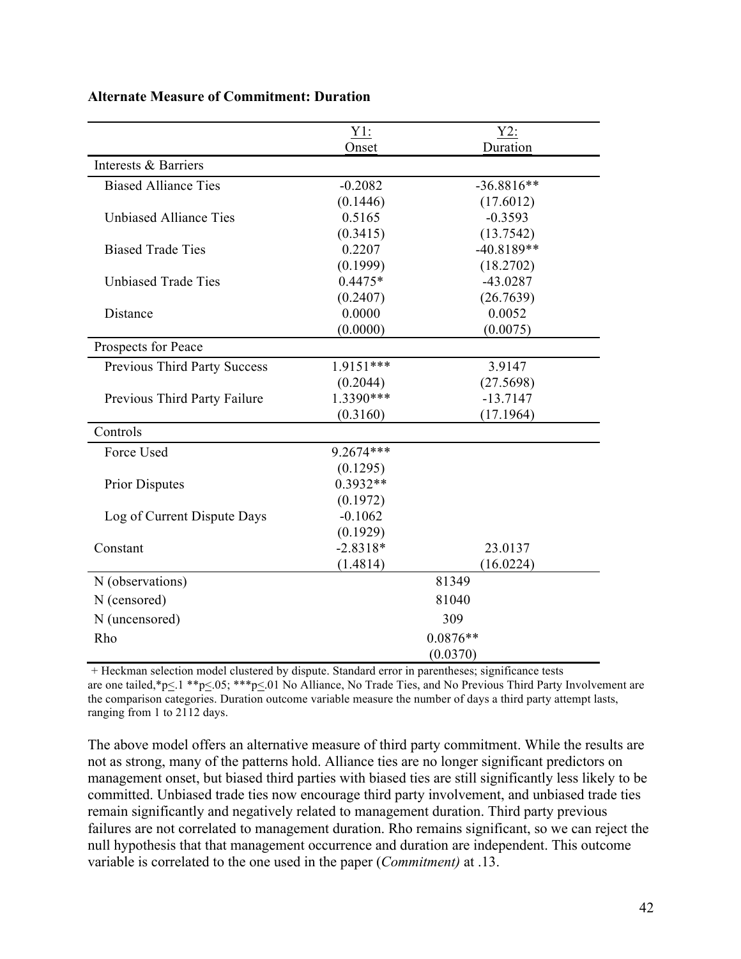|                               | $Y1$ :                 | $Y2$ :       |
|-------------------------------|------------------------|--------------|
|                               | Onset                  | Duration     |
| Interests & Barriers          |                        |              |
| <b>Biased Alliance Ties</b>   | $-0.2082$              | $-36.8816**$ |
|                               | (0.1446)               | (17.6012)    |
| <b>Unbiased Alliance Ties</b> | 0.5165                 | $-0.3593$    |
|                               | (0.3415)               | (13.7542)    |
| <b>Biased Trade Ties</b>      | 0.2207                 | $-40.8189**$ |
|                               | (0.1999)               | (18.2702)    |
| <b>Unbiased Trade Ties</b>    | $0.4475*$              | $-43.0287$   |
|                               | (0.2407)               | (26.7639)    |
| Distance                      | 0.0000                 | 0.0052       |
|                               | (0.0000)               | (0.0075)     |
| Prospects for Peace           |                        |              |
| Previous Third Party Success  | $1.9151***$            | 3.9147       |
|                               | (0.2044)               | (27.5698)    |
| Previous Third Party Failure  | 1.3390***              | $-13.7147$   |
|                               | (0.3160)               | (17.1964)    |
| Controls                      |                        |              |
| Force Used                    | 9.2674***              |              |
|                               | (0.1295)               |              |
| <b>Prior Disputes</b>         | $0.3932**$             |              |
|                               | (0.1972)               |              |
| Log of Current Dispute Days   | $-0.1062$              |              |
|                               | (0.1929)               |              |
| Constant                      | $-2.8318*$             | 23.0137      |
|                               | (1.4814)               | (16.0224)    |
| N (observations)              | 81349                  |              |
| N (censored)                  | 81040                  |              |
| N (uncensored)                | 309                    |              |
| Rho                           | $0.0876**$<br>(0.0370) |              |
|                               |                        |              |

### **Alternate Measure of Commitment: Duration**

 $+$  Heckman selection model clustered by dispute. Standard error in parentheses; significance tests are one tailed,\*p<.1 \*\*p<.05; \*\*\*p<.01 No Alliance, No Trade Ties, and No Previous Third Party Involvement are the comparison categories. Duration outcome variable measure the number of days a third party attempt lasts, ranging from 1 to 2112 days.

The above model offers an alternative measure of third party commitment. While the results are not as strong, many of the patterns hold. Alliance ties are no longer significant predictors on management onset, but biased third parties with biased ties are still significantly less likely to be committed. Unbiased trade ties now encourage third party involvement, and unbiased trade ties remain significantly and negatively related to management duration. Third party previous failures are not correlated to management duration. Rho remains significant, so we can reject the null hypothesis that that management occurrence and duration are independent. This outcome variable is correlated to the one used in the paper (*Commitment)* at .13.